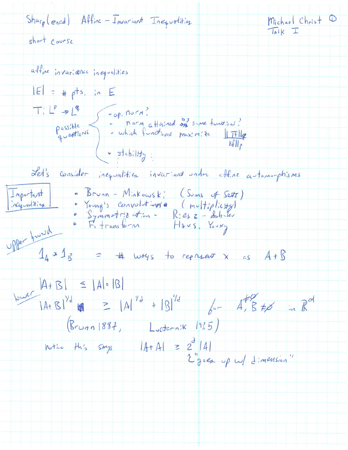$Shar_{p}(e_{acd})$  Affine - Invariant Inequalities  $Michael Chrlst$  $\sqrt{18}$  K  $\sqrt{1}$ short course affine invariance inequalities  $|E| = 4$  pts, in  $E$ Ti Le > Le<br>Possible : norm attained on sure functions?<br>questions : which functions maximize <u>liftle</u>  $NFI<sub>6</sub>$  $\left(\bullet \frac{1}{100}\right)$ Let's consider inequalities invariant under affine automorphisms Important • Brunn - Minkowski (Sums of Sett) "Young's convolutions (multiplicity)<br>"Symmetrizetin - Riesz-dobiler<br>"Fitransform" Haus, Young inequalities upper pourd  $1_4 \times 1_5 = 4$  ways to reprise  $x \leq 4 + 5$  $|A+B|$  =  $|A| \cdot |B|$ <br> $|A+B|^{14}$  (A  $|B|^{14}$  +  $|B|^{14}$  6-  $A$ ,  $B \neq 1$  in  $R^{\circ l}$  $(R_{coun} 1887, L_{sstern!k} 1935)$ nother this says  $|A+A| = 2^d |A|$ <br> $\sum_{j=0}^{d} |A|$   $\sum_{j=0}^{d} |A|$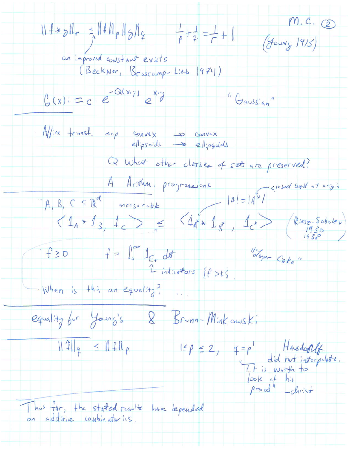$M.C.$  2  $11f*gH_r = \frac{1}{2}||fH_p||_2H_f$   $\frac{1}{p} + \frac{1}{p} = \frac{1}{r} + 1$ (YOUNG 1913) an improved constant exists<br>(Beckner, Brascamp-Lieb 1974)  $G(x) = c \cdot e^{-Q(x, y)} e^{x, y}$ "Gaussian" Affine transf. Map convex - convex<br>ellipsoids - ellipsoids Q what other classes of sets are preserved? A Arithm. progressions  $|A| = |A^{\frac{1}{2}}|$ <br>  $\langle 1_A * 1_B , 1_C \rangle = \langle 4_A * 1_B , 1_C \rangle$ <br>  $\langle 1_A * 1_B , 1_C \rangle = \langle 4_A * 1_B , 1_C * \rangle$  $f = \int_{s}^{\infty} 1_{E_{t}} dt$   $V_{opt} = C_{0}k_{e}$ <br>  $V_{indictators} = \sqrt{f} > t$ <br>  $V_{inter is + h:s an equal:7}$ When is this an equality? equality for Young's & Brunn-Minkowski  $\frac{||f||_q}{||f||_q} \leq ||f||_p$   $\qquad \qquad |g| \leq p \leq 2, \quad q = p' \qquad \qquad \frac{1}{d} \text{ and } \text{ not } \text{ is a positive.}$   $\frac{1}{|g|_q} \text{ is a positive.}$   $\qquad \qquad \frac{1}{|g|_q} \text{ is a positive.}$   $\qquad \qquad \text{for all} \qquad \text{or } \text{ is the positive.}$ Thus far, the stated result have depended on additive combinatories.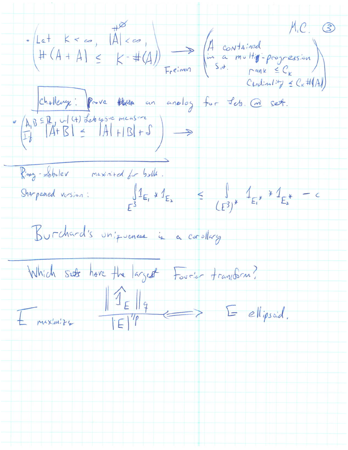$chatheny: Prove   
\n(A, B \subseteq R, \cup | \langle + \rangle \text{ debesve measure} \rightarrow \text{ so } \exists e \in R.$ Ring-Sholer maximized for both.<br>Sharpened version:  $\int_{E^3} 1_{E_1} \times 1_{E_2} \le \int_{(E^3)^*} 1_{E_1} \times 1_{E_2^*} = c$ Burchard's uniqueness is a corollary Which sets have the largest Fourier transform?  $E$  muximize  $\frac{||\hat{T}_{E}||_{q}}{||E||^{1/p}} \geq E$  ellipsoid.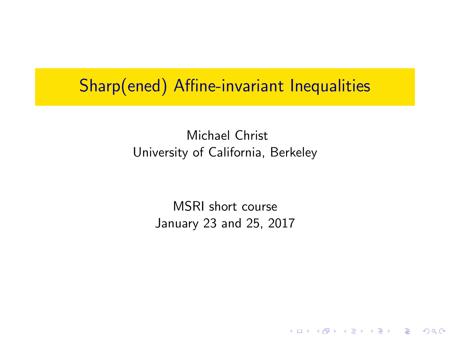### Sharp(ened) Affine-invariant Inequalities

#### Michael Christ University of California, Berkeley

MSRI short course January 23 and 25, 2017

K ロ ▶ K @ ▶ K 할 > K 할 > 1 할 > 1 이익어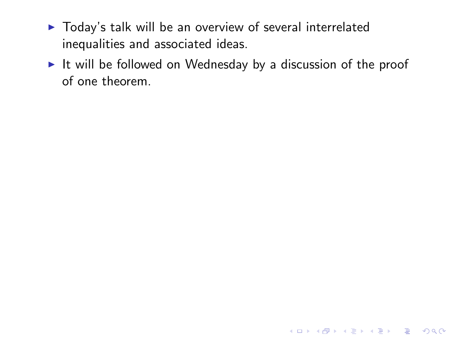- $\triangleright$  Today's talk will be an overview of several interrelated inequalities and associated ideas.
- $\blacktriangleright$  It will be followed on Wednesday by a discussion of the proof of one theorem.

K ロ ▶ K @ ▶ K 할 > K 할 > 1 할 > 1 이익어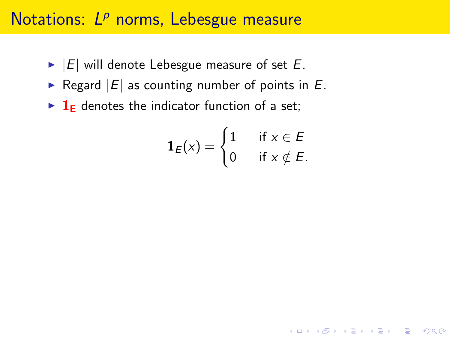## Notations: L<sup>p</sup> norms, Lebesgue measure

- $\blacktriangleright$  |E| will denote Lebesgue measure of set E.
- Regard  $|E|$  as counting number of points in  $E$ .
- $\blacktriangleright$  1<sub>E</sub> denotes the indicator function of a set;

$$
\mathbf{1}_E(x) = \begin{cases} 1 & \text{if } x \in E \\ 0 & \text{if } x \notin E. \end{cases}
$$

**K ロ ▶ K @ ▶ K 할 X X 할 X → 할 X → 9 Q Q ^**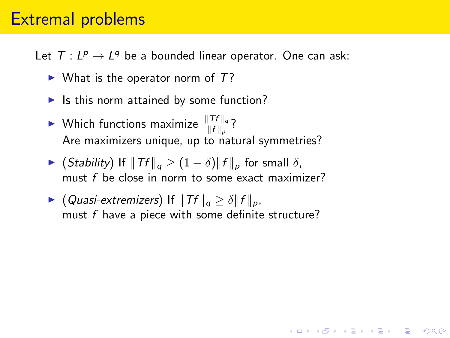#### Extremal problems

Let  $T: L^p \to L^q$  be a bounded linear operator. One can ask:

- $\triangleright$  What is the operator norm of T?
- $\blacktriangleright$  Is this norm attained by some function?
- $\blacktriangleright$  Which functions maximize  $\frac{\|Tf\|_q}{\|f\|_p}$ ? Are maximizers unique, up to natural symmetries?
- $\triangleright$  (Stability) If  $\|Tf\|_q \geq (1 \delta) \|f\|_p$  for small δ, must f be close in norm to some exact maximizer?
- ▶ (Quasi-extremizers) If  $||Tf||_q \ge \delta ||f||_p$ , must  $f$  have a piece with some definite structure?

4 D > 4 P + 4 B + 4 B + B + 9 Q O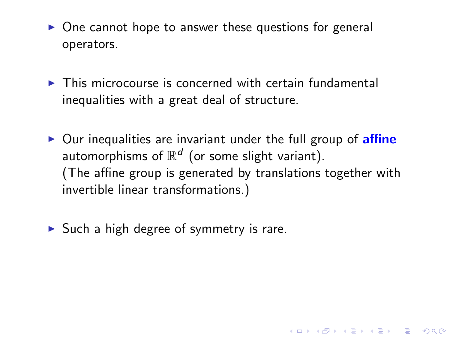- $\triangleright$  One cannot hope to answer these questions for general operators.
- $\triangleright$  This microcourse is concerned with certain fundamental inequalities with a great deal of structure.
- $\triangleright$  Our inequalities are invariant under the full group of **affine** automorphisms of  $\mathbb{R}^d$  (or some slight variant). (The affine group is generated by translations together with invertible linear transformations.)

4 D > 4 P + 4 B + 4 B + B + 9 Q O

 $\triangleright$  Such a high degree of symmetry is rare.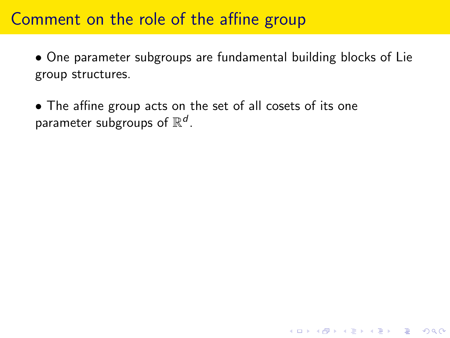#### Comment on the role of the affine group

• One parameter subgroups are fundamental building blocks of Lie group structures.

**K ロ ▶ K @ ▶ K 할 X X 할 X → 할 X → 9 Q Q ^** 

• The affine group acts on the set of all cosets of its one parameter subgroups of  $\mathbb{R}^d$ .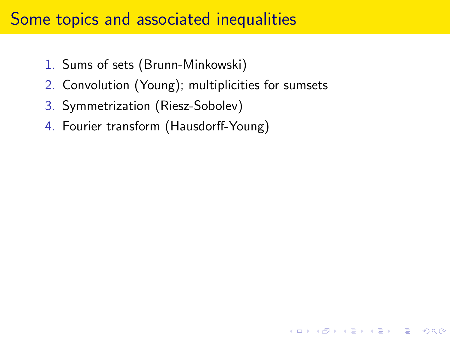#### Some topics and associated inequalities

- 1. Sums of sets (Brunn-Minkowski)
- 2. Convolution (Young); multiplicities for sumsets

**K ロ ▶ K @ ▶ K 할 X X 할 X → 할 X → 9 Q Q ^** 

- 3. Symmetrization (Riesz-Sobolev)
- 4. Fourier transform (Hausdorff-Young)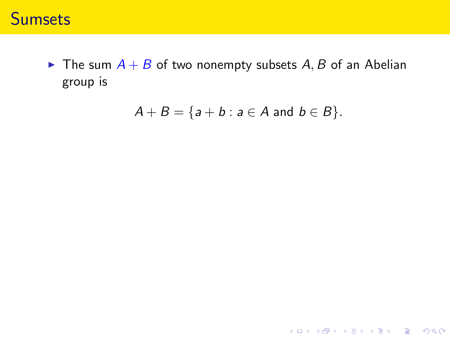#### **Sumsets**

 $\blacktriangleright$  The sum  $A + B$  of two nonempty subsets A, B of an Abelian group is

$$
A+B=\{a+b: a\in A \text{ and } b\in B\}.
$$

K ロ ▶ K @ ▶ K 할 ▶ K 할 ▶ | 할 | © 9 Q @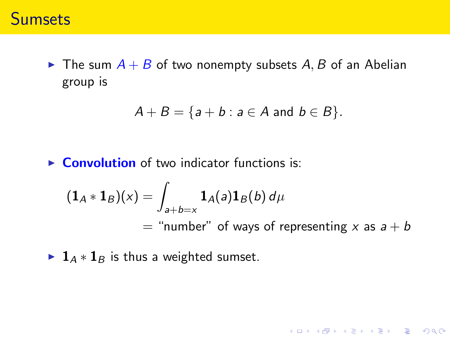#### **Sumsets**

 $\triangleright$  The sum  $A + B$  of two nonempty subsets A, B of an Abelian group is

$$
A+B=\{a+b: a\in A \text{ and } b\in B\}.
$$

 $\triangleright$  **Convolution** of two indicator functions is:

$$
(1A * 1B)(x) = \int_{a+b=x} 1A(a)1B(b) d\mu
$$
  
= "number" of ways of representing x as a + b

K ロ ▶ K @ ▶ K 할 ▶ K 할 ▶ | 할 | © 9 Q @

►  $\mathbf{1}_A * \mathbf{1}_B$  is thus a weighted sumset.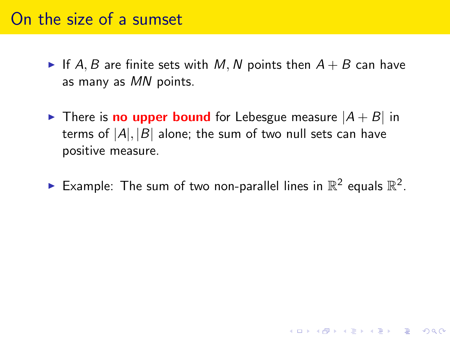#### On the size of a sumset

- If A, B are finite sets with M, N points then  $A + B$  can have as many as MN points.
- $\triangleright$  There is **no upper bound** for Lebesgue measure  $|A + B|$  in terms of  $|A|, |B|$  alone; the sum of two null sets can have positive measure.
- Example: The sum of two non-parallel lines in  $\mathbb{R}^2$  equals  $\mathbb{R}^2$ .

K ロ ▶ K @ ▶ K 할 > K 할 > 1 할 > 1 이익어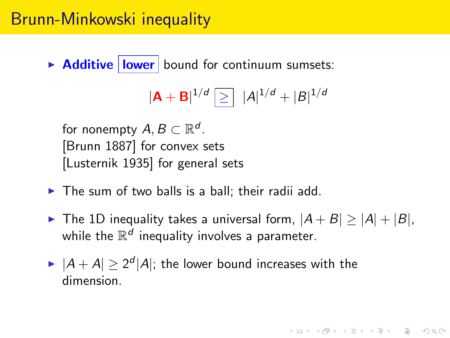$\triangleright$  **Additive lower** bound for continuum sumsets:

$$
|{\bf A}+{\bf B}|^{1/d} \, \textcolor{red}{\geq}\, \, |A|^{1/d} + |B|^{1/d}
$$

for nonempty  $A, B \subset \mathbb{R}^d$ . [Brunn 1887] for convex sets [Lusternik 1935] for general sets

- $\triangleright$  The sum of two balls is a ball; their radii add.
- ▶ The 1D inequality takes a universal form,  $|A + B| \ge |A| + |B|$ , while the  $\mathbb{R}^d$  inequality involves a parameter.

**AD A 4 4 4 5 A 5 A 5 A 4 D A 4 D A 4 P A 4 5 A 4 5 A 5 A 4 A 4 A 4 A** 

 $\blacktriangleright$   $|A + A| \geq 2^d |A|$ ; the lower bound increases with the dimension.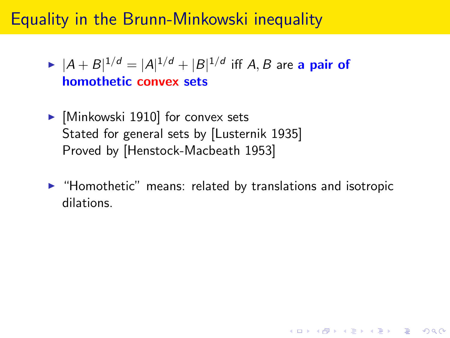### Equality in the Brunn-Minkowski inequality

- $\blacktriangleright$   $|A + B|^{1/d} = |A|^{1/d} + |B|^{1/d}$  iff  $A, B$  are a pair of homothetic convex sets
- $\blacktriangleright$  [Minkowski 1910] for convex sets Stated for general sets by [Lusternik 1935] Proved by [Henstock-Macbeath 1953]
- $\blacktriangleright$  "Homothetic" means: related by translations and isotropic dilations.

4 D > 4 P + 4 B + 4 B + B + 9 Q O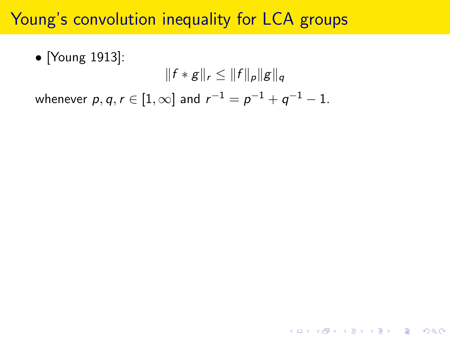### Young's convolution inequality for LCA groups

• [Young 1913]:  $||f * g||_r \leq ||f||_p||g||_q$ whenever  $p,q,r\in[1,\infty]$  and  $r^{-1}=p^{-1}+q^{-1}-1.$ 

**KORKA SERKER ORA**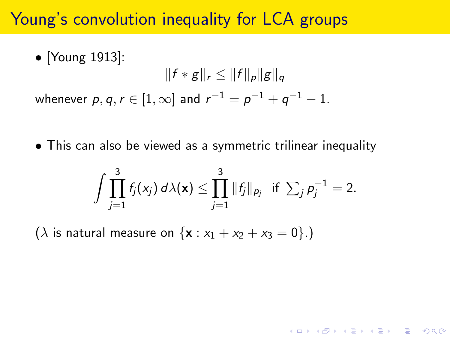#### Young's convolution inequality for LCA groups

• [Young 1913]:  
\n
$$
||f * g||_r \le ||f||_p ||g||_q
$$
\nwhenever  $p, q, r \in [1, \infty]$  and  $r^{-1} = p^{-1} + q^{-1} - 1$ .

• This can also be viewed as a symmetric trilinear inequality

$$
\int \prod_{j=1}^3 f_j(x_j) d\lambda(\mathbf{x}) \leq \prod_{j=1}^3 \|f_j\|_{p_j} \text{ if } \sum_j p_j^{-1} = 2.
$$

( $\lambda$  is natural measure on  ${x : x_1 + x_2 + x_3 = 0}.$ )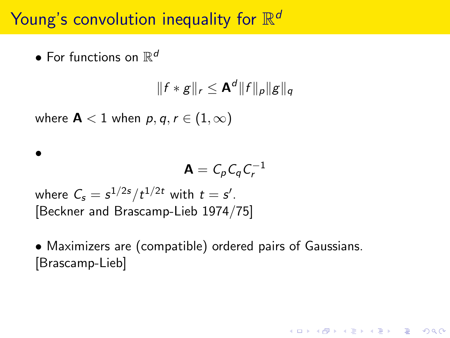# Young's convolution inequality for  $\mathbb{R}^d$

 $\bullet$  For functions on  $\mathbb{R}^d$ 

•

$$
||f * g||_r \leq \mathbf{A}^d ||f||_p ||g||_q
$$

where  $A < 1$  when  $p, q, r \in (1, \infty)$ 

$$
\mathbf{A}=C_p C_q C_r^{-1}
$$

**KORKAR KERKER EL VOLO** 

where  $\mathcal{C}_s = s^{1/2s}/t^{1/2t}$  with  $t = s'.$ [Beckner and Brascamp-Lieb 1974/75]

• Maximizers are (compatible) ordered pairs of Gaussians. [Brascamp-Lieb]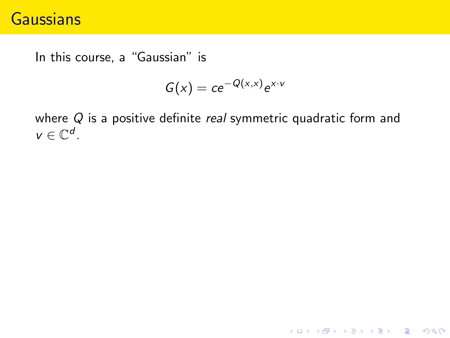### **Gaussians**

In this course, a "Gaussian" is

$$
G(x) = ce^{-Q(x,x)}e^{x\cdot v}
$$

where  $Q$  is a positive definite *real* symmetric quadratic form and  $v \in \mathbb{C}^d$ .

K ロ ▶ K @ ▶ K 할 ▶ K 할 ▶ | 할 | © 9 Q @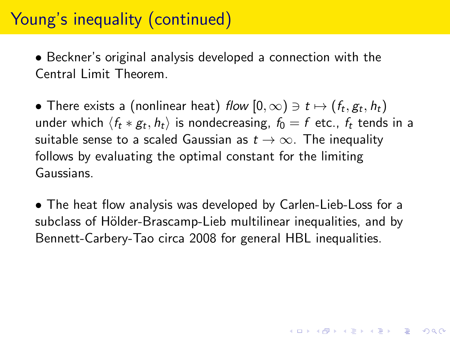## Young's inequality (continued)

• Beckner's original analysis developed a connection with the Central Limit Theorem.

 $\bullet$  There exists a (nonlinear heat) flow  $[0,\infty)\ni t\mapsto (f_t,g_t,h_t)$ under which  $\langle f_t * g_t, h_t \rangle$  is nondecreasing,  $f_0 = f$  etc.,  $f_t$  tends in a suitable sense to a scaled Gaussian as  $t \to \infty$ . The inequality follows by evaluating the optimal constant for the limiting Gaussians.

• The heat flow analysis was developed by Carlen-Lieb-Loss for a subclass of Hölder-Brascamp-Lieb multilinear inequalities, and by Bennett-Carbery-Tao circa 2008 for general HBL inequalities.

4 D > 4 P + 4 B + 4 B + B + 9 Q O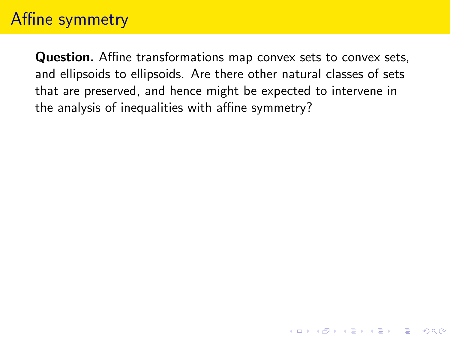### Affine symmetry

Question. Affine transformations map convex sets to convex sets, and ellipsoids to ellipsoids. Are there other natural classes of sets that are preserved, and hence might be expected to intervene in the analysis of inequalities with affine symmetry?

**K ロ ▶ K @ ▶ K 할 X X 할 X → 할 X → 9 Q Q ^**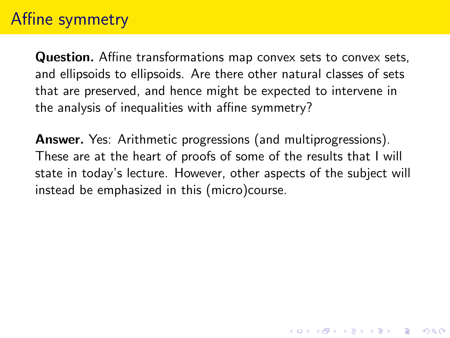### Affine symmetry

Question. Affine transformations map convex sets to convex sets, and ellipsoids to ellipsoids. Are there other natural classes of sets that are preserved, and hence might be expected to intervene in the analysis of inequalities with affine symmetry?

Answer. Yes: Arithmetic progressions (and multiprogressions). These are at the heart of proofs of some of the results that I will state in today's lecture. However, other aspects of the subject will instead be emphasized in this (micro)course.

4 D > 4 P + 4 B + 4 B + B + 9 Q O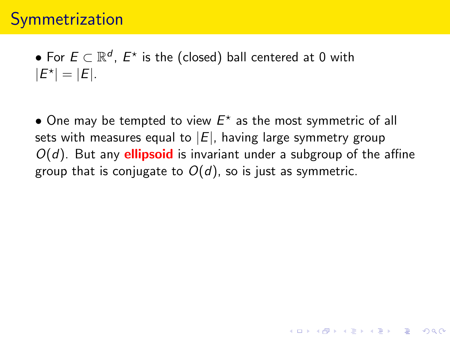$\bullet$  For  $E \subset \mathbb{R}^d$ ,  $E^\star$  is the (closed) ball centered at 0 with  $|E^*| = |E|.$ 

 $\bullet$  One may be tempted to view  $E^{\star}$  as the most symmetric of all sets with measures equal to  $|E|$ , having large symmetry group  $O(d)$ . But any **ellipsoid** is invariant under a subgroup of the affine group that is conjugate to  $O(d)$ , so is just as symmetric.

**KORKAR KERKER EL VOLO**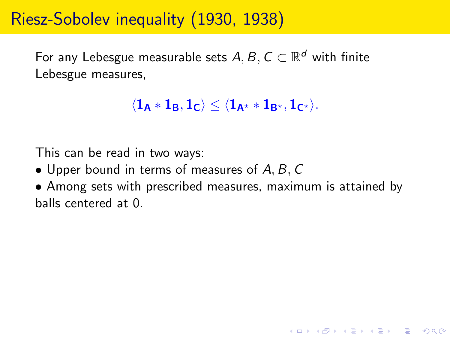### Riesz-Sobolev inequality (1930, 1938)

For any Lebesgue measurable sets  $A,B,C\subset \mathbb{R}^d$  with finite Lebesgue measures,

```
\langle \mathbf{1_A} * \mathbf{1_B}, \mathbf{1_C} \rangle \le \langle \mathbf{1_{A^*}} * \mathbf{1_{B^*}}, \mathbf{1_{C^*}} \rangle.
```
This can be read in two ways:

- Upper bound in terms of measures of  $A, B, C$
- Among sets with prescribed measures, maximum is attained by balls centered at 0.

**KORK ERKER ADE YOUR**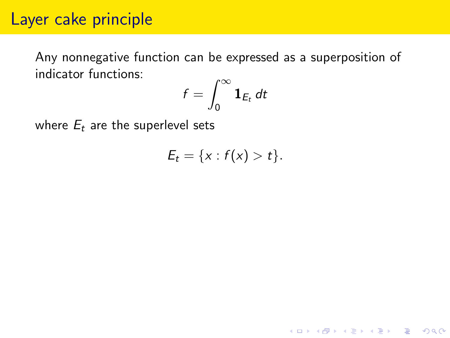#### Layer cake principle

Any nonnegative function can be expressed as a superposition of indicator functions:

$$
f=\int_0^\infty \mathbf{1}_{E_t}\,dt
$$

where  $E_t$  are the superlevel sets

$$
E_t = \{x : f(x) > t\}.
$$

K ロ ▶ K @ ▶ K 할 > K 할 > 1 할 > 1 이익어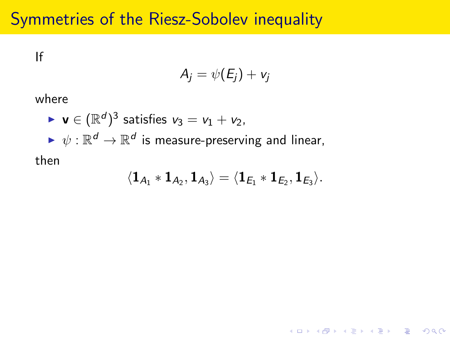### Symmetries of the Riesz-Sobolev inequality

If

$$
A_j = \psi(E_j) + v_j
$$

where

▶ v ∈ 
$$
(\mathbb{R}^d)^3
$$
 satisfies  $v_3 = v_1 + v_2$ ,  
\n▶  $\psi : \mathbb{R}^d \to \mathbb{R}^d$  is measure-preserving and linear,  
\nthen

$$
\langle\mathbf{1}_{A_1}*\mathbf{1}_{A_2},\mathbf{1}_{A_3}\rangle=\langle\mathbf{1}_{E_1}*\mathbf{1}_{E_2},\mathbf{1}_{E_3}\rangle.
$$

K ロ ▶ K @ ▶ K 할 ▶ K 할 ▶ | 할 | © 9 Q @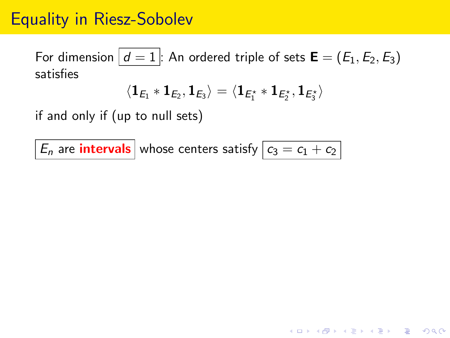### Equality in Riesz-Sobolev

For dimension  $d = 1$ : An ordered triple of sets  $\mathbf{E} = (E_1, E_2, E_3)$ satisfies

$$
\langle \mathbf{1}_{\textit{E}_{1}} \ast \mathbf{1}_{\textit{E}_{2}}, \mathbf{1}_{\textit{E}_{3}} \rangle = \langle \mathbf{1}_{\textit{E}_{1}^{\star}} \ast \mathbf{1}_{\textit{E}_{2}^{\star}}, \mathbf{1}_{\textit{E}_{3}^{\star}} \rangle
$$

**K ロ ▶ K @ ▶ K 할 X X 할 X → 할 X → 9 Q Q ^** 

if and only if (up to null sets)

 $|E_n|$  are **intervals** whose centers satisfy  $\boxed{c_3 = c_1 + c_2}$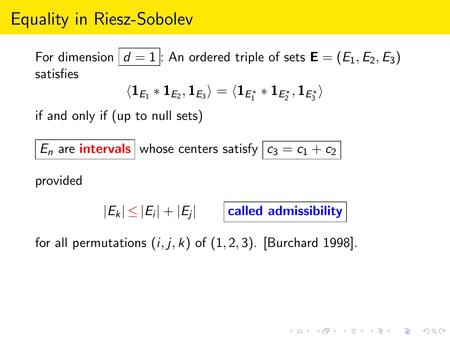### Equality in Riesz-Sobolev

For dimension  $d = 1$ : An ordered triple of sets  $\mathbf{E} = (E_1, E_2, E_3)$ satisfies

$$
\langle \mathbf{1}_{\textit{E}_{1}} \ast \mathbf{1}_{\textit{E}_{2}}, \mathbf{1}_{\textit{E}_{3}} \rangle = \langle \mathbf{1}_{\textit{E}_{1}^{\star}} \ast \mathbf{1}_{\textit{E}_{2}^{\star}}, \mathbf{1}_{\textit{E}_{3}^{\star}} \rangle
$$

if and only if (up to null sets)

 $\left|E_n\right|$  are **intervals** whose centers satisfy  $\boxed{c_3 = c_1 + c_2}$ 

provided

 $\left| {{E_k}} \right| \le \left| {{E_j}} \right| + \left| {{E_j}} \right|$   $\;$   $\;$   $\;$   $\;$   $\;$  called admissibility

for all permutations  $(i, j, k)$  of  $(1, 2, 3)$ . [Burchard 1998].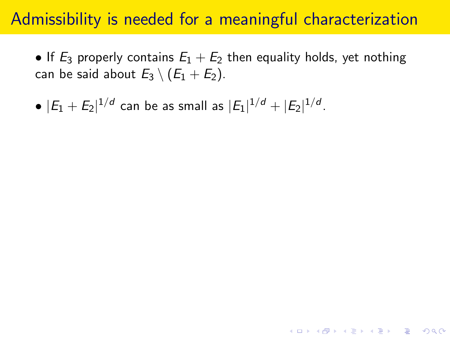#### Admissibility is needed for a meaningful characterization

• If  $E_3$  properly contains  $E_1 + E_2$  then equality holds, yet nothing can be said about  $E_3 \setminus (E_1 + E_2)$ .

KID KA KERKER KID KO

•  $|E_1 + E_2|^{1/d}$  can be as small as  $|E_1|^{1/d} + |E_2|^{1/d}$ .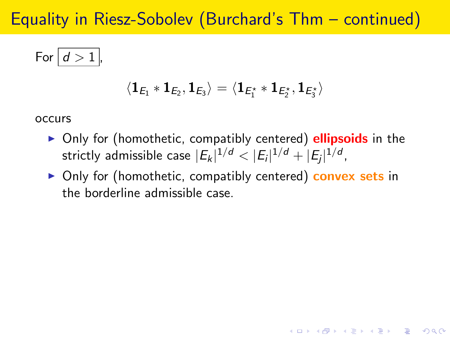### Equality in Riesz-Sobolev (Burchard's Thm – continued)

For 
$$
d > 1
$$
,

$$
\langle \mathbf{1}_{\textit{E}_{1}} \ast \mathbf{1}_{\textit{E}_{2}}, \mathbf{1}_{\textit{E}_{3}} \rangle = \langle \mathbf{1}_{\textit{E}_{1}^{\star}} \ast \mathbf{1}_{\textit{E}_{2}^{\star}}, \mathbf{1}_{\textit{E}_{3}^{\star}} \rangle
$$

occurs

- $\triangleright$  Only for (homothetic, compatibly centered) **ellipsoids** in the strictly admissible case  $|E_k|^{1/d} < |E_i|^{1/d} + |E_j|^{1/d}$ ,
- ▶ Only for (homothetic, compatibly centered) convex sets in the borderline admissible case.

**KORKAR KERKER EL VOLO**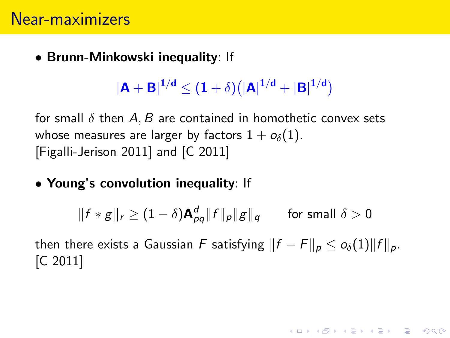• Brunn-Minkowski inequality: If

 $|{\bf A}+{\bf B}|^{1/{\bf d}}\leq (1+\delta)(|{\bf A}|^{1/{\bf d}}+|{\bf B}|^{1/{\bf d}})$ 

for small  $\delta$  then A, B are contained in homothetic convex sets whose measures are larger by factors  $1 + o_{\delta}(1)$ . [Figalli-Jerison 2011] and [C 2011]

• Young's convolution inequality: If

$$
\|f * g\|_r \ge (1 - \delta) \mathbf{A}_{pq}^d \|f\|_p \|g\|_q \qquad \text{for small } \delta > 0
$$

then there exists a Gaussian F satisfying  $||f - F||_p \leq o_\delta(1) ||f||_p$ . [C 2011]

**KORKAR KERKER EL VOLO**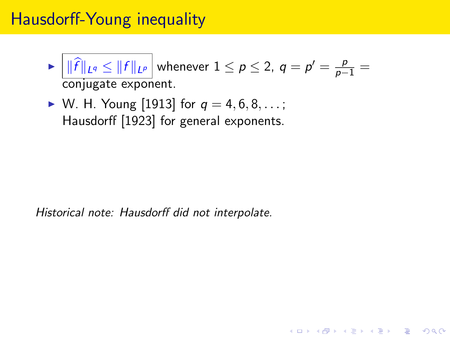### Hausdorff-Young inequality

 $\blacktriangleright$   $||\widehat{f}||_{L^q} \le ||f||_{L^p}$  whenever  $1 \le p \le 2$ ,  $q = p' = \frac{p}{p-1} =$ conjugate exponent.

**KORK ERKER ADE YOUR** 

 $\triangleright$  W. H. Young [1913] for  $q = 4, 6, 8, ...$ ; Hausdorff [1923] for general exponents.

Historical note: Hausdorff did not interpolate.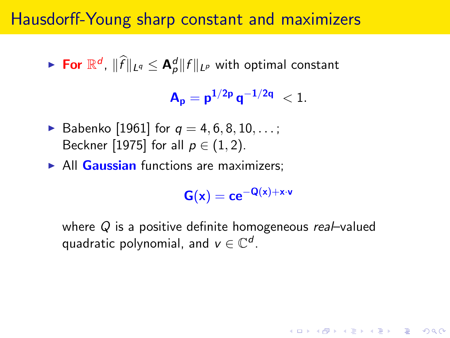#### Hausdorff-Young sharp constant and maximizers

► For  $\mathbb{R}^d$ ,  $\|\widehat{f}\|_{L^q} \leq \mathbf{A}^d_p \|f\|_{L^p}$  with optimal constant

 $A_p = p^{1/2p} q^{-1/2q} < 1.$ 

- Babenko [1961] for  $q = 4, 6, 8, 10, ...$ ; Beckner [1975] for all  $p \in (1, 2)$ .
- $\triangleright$  All Gaussian functions are maximizers;

 $G(x) = ce^{-Q(x)+x\cdot v}$ 

**KORKAR KERKER EL VOLO** 

where  $Q$  is a positive definite homogeneous real–valued quadratic polynomial, and  $v\in\mathbb{C}^d$ .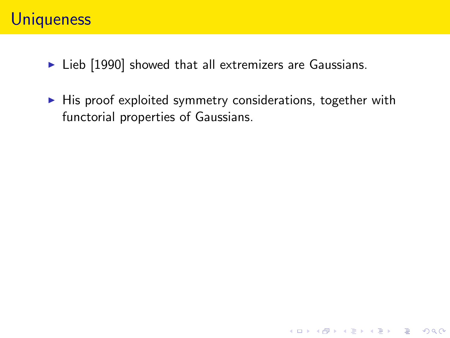### **Uniqueness**

- $\blacktriangleright$  Lieb [1990] showed that all extremizers are Gaussians.
- $\blacktriangleright$  His proof exploited symmetry considerations, together with functorial properties of Gaussians.

**K ロ ▶ K @ ▶ K 할 X X 할 X → 할 X → 9 Q Q ^**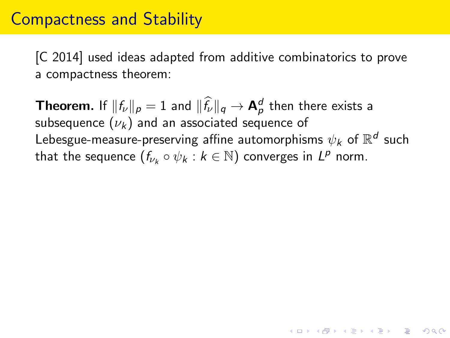#### Compactness and Stability

[C 2014] used ideas adapted from additive combinatorics to prove a compactness theorem:

**Theorem.** If  $||f_{\nu}||_p = 1$  and  $||\hat{f}_{\nu}||_q \rightarrow \mathbf{A}_p^d$  then there exists a subsequence  $(\nu_k)$  and an associated sequence of Lebesgue-measure-preserving affine automorphisms  $\psi_{\pmb{k}}$  of  $\mathbb{R}^{\boldsymbol{d}}$  such that the sequence  $(f_{\nu_k} \circ \psi_k : k \in \mathbb{N})$  converges in  $L^p$  norm.

**KORKAR KERKER EL VOLO**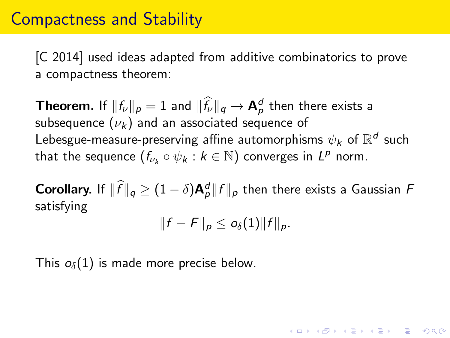### Compactness and Stability

[C 2014] used ideas adapted from additive combinatorics to prove a compactness theorem:

**Theorem.** If  $||f_{\nu}||_p = 1$  and  $||\hat{f}_{\nu}||_q \rightarrow \mathbf{A}_p^d$  then there exists a subsequence  $(\nu_k)$  and an associated sequence of Lebesgue-measure-preserving affine automorphisms  $\psi_{\pmb{k}}$  of  $\mathbb{R}^{\boldsymbol{d}}$  such that the sequence  $(f_{\nu_k} \circ \psi_k : k \in \mathbb{N})$  converges in  $L^p$  norm.

**Corollary.** If  $\|\hat{f}\|_q \geq (1 - \delta) \mathbf{A}_p^d \|f\|_p$  then there exists a Gaussian F satisfying

$$
||f - F||_p \leq o_\delta(1) ||f||_p.
$$

**KORKAR KERKER EL VOLO** 

This  $o_{\delta}(1)$  is made more precise below.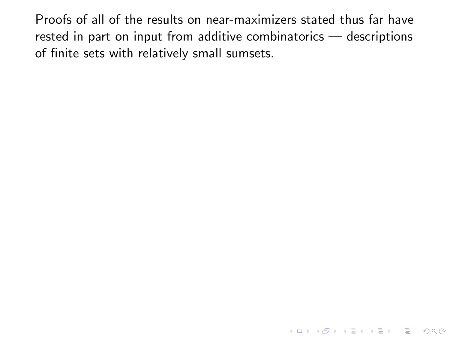Proofs of all of the results on near-maximizers stated thus far have rested in part on input from additive combinatorics — descriptions of finite sets with relatively small sumsets.

K ロ ▶ K @ ▶ K 할 > K 할 > 1 할 > 1 이익어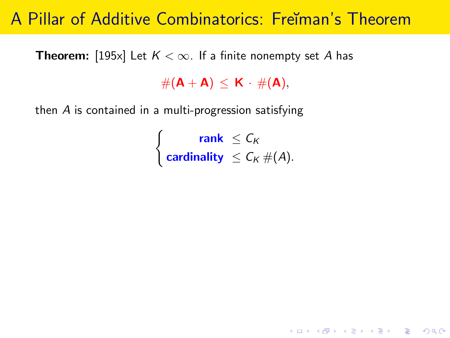### A Pillar of Additive Combinatorics: Freıman's Theorem

**Theorem:** [195x] Let  $K < \infty$ . If a finite nonempty set A has

 $#(A + A) < K \cdot #(A),$ 

then A is contained in a multi-progression satisfying

 $\int$  rank  $\leq$   $C_K$ cardinality  $\leq C_K \#(A)$ .

KID KA KERKER KID KO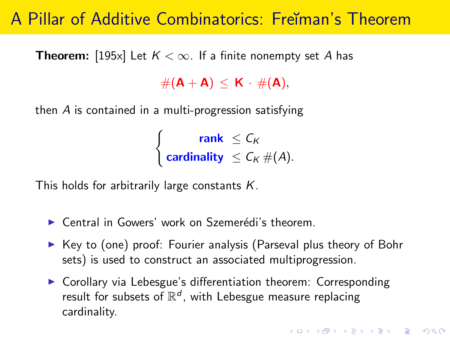# A Pillar of Additive Combinatorics: Freĭman's Theorem

**Theorem:** [195x] Let  $K < \infty$ . If a finite nonempty set A has

 $#(A + A) < K \cdot #(A),$ 

then A is contained in a multi-progression satisfying

 $\int$  rank  $\leq$   $C_K$ cardinality  $\leq C_K \#(A)$ .

This holds for arbitrarily large constants  $K$ .

- $\triangleright$  Central in Gowers' work on Szemerédi's theorem.
- $\triangleright$  Key to (one) proof: Fourier analysis (Parseval plus theory of Bohr sets) is used to construct an associated multiprogression.
- $\triangleright$  Corollary via Lebesgue's differentiation theorem: Corresponding result for subsets of  $\mathbb{R}^d$ , with Lebesgue measure replacing cardinality.

KID KA KERKER KID KO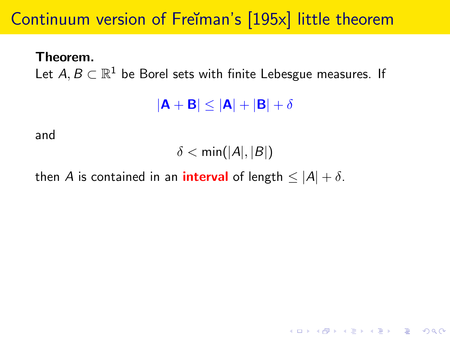# Continuum version of Freĭman's [195x] little theorem

Theorem.

Let  $A,B\subset \mathbb{R}^1$  be Borel sets with finite Lebesgue measures. If

 $|\mathbf{A} + \mathbf{B}| \leq |\mathbf{A}| + |\mathbf{B}| + \delta$ 

and

 $\delta < \text{min}(|A|, |B|)$ 

then A is contained in an **interval** of length  $\leq |A| + \delta$ .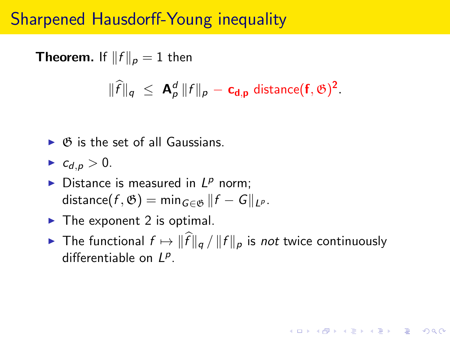# Sharpened Hausdorff-Young inequality

**Theorem.** If  $||f||_p = 1$  then  $\|\widehat{f}\|_q \ \leq \ \mathsf{A}_p^d \, \|f\|_p - \mathsf{c}_{\mathsf{d},p} \ \text{distance}(\mathsf{f},\mathfrak{G})^2.$ 

- $\triangleright$   $\emptyset$  is the set of all Gaussians.
- $\blacktriangleright$   $c_{d,p} > 0$ .
- Distance is measured in  $L^p$  norm; distance(f,  $\mathfrak{G}$ ) = min<sub>G∈ $\mathfrak{G}$ </sub> ||f – G||<sub>l</sub><sub>p</sub>.
- $\blacktriangleright$  The exponent 2 is optimal.
- ▶ The functional  $f \mapsto ||\widehat{f}||_q / ||f||_p$  is not twice continuously differentiable on  $L^p$ .

**AD A 4 4 4 5 A 5 A 5 A 4 D A 4 D A 4 P A 4 5 A 4 5 A 5 A 4 A 4 A 4 A**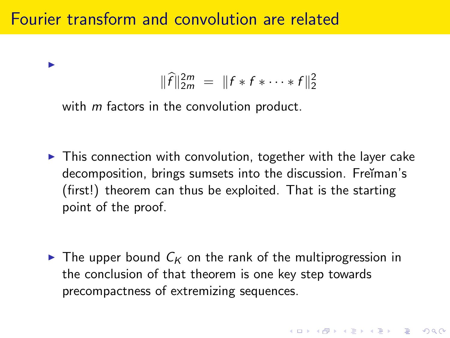## Fourier transform and convolution are related

I

$$
\|\widehat{f}\|_{2m}^{2m} = \|f * f * \cdots * f\|_2^2
$$

with *m* factors in the convolution product.

 $\triangleright$  This connection with convolution, together with the layer cake decomposition, brings sumsets into the discussion. Freĭman's (first!) theorem can thus be exploited. That is the starting point of the proof.

 $\triangleright$  The upper bound  $C_K$  on the rank of the multiprogression in the conclusion of that theorem is one key step towards precompactness of extremizing sequences.

4 D > 4 P + 4 B + 4 B + B + 9 Q O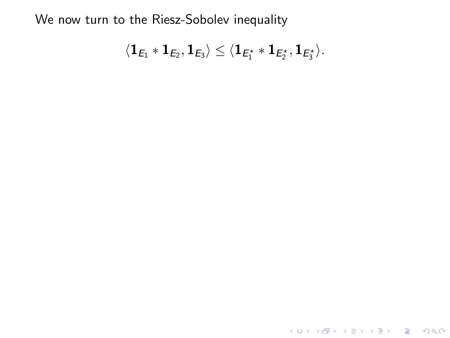We now turn to the Riesz-Sobolev inequality

$$
\langle \mathbf{1}_{E_1} \ast \mathbf{1}_{E_2}, \mathbf{1}_{E_3} \rangle \leq \langle \mathbf{1}_{E_1^\star} \ast \mathbf{1}_{E_2^\star}, \mathbf{1}_{E_3^\star} \rangle.
$$

K ロ K K (P) K (E) K (E) X (E) X (P) K (P)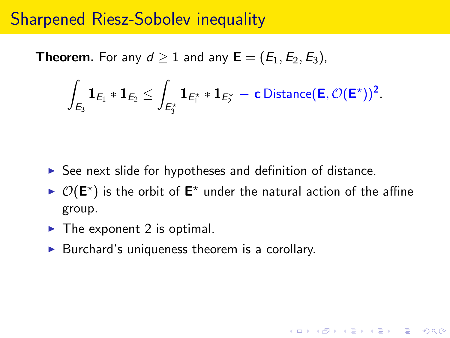### Sharpened Riesz-Sobolev inequality

**Theorem.** For any  $d \ge 1$  and any  $\mathbf{E} = (E_1, E_2, E_3)$ ,

$$
\int_{\mathsf{E}_3} \mathbf{1}_{\mathsf{E}_1} \ast \mathbf{1}_{\mathsf{E}_2} \leq \int_{\mathsf{E}_3^\star} \mathbf{1}_{\mathsf{E}_1^\star} \ast \mathbf{1}_{\mathsf{E}_2^\star} - \mathbf{c} \,\mathrm{Distance}(\mathsf{E}, \mathcal{O}(\mathsf{E}^\star))^2.
$$

- $\triangleright$  See next slide for hypotheses and definition of distance.
- $\triangleright$   $\mathcal{O}(\mathsf{E}^*)$  is the orbit of  $\mathsf{E}^*$  under the natural action of the affine group.

**K ロ ▶ K @ ▶ K 할 X X 할 X → 할 X → 9 Q Q ^** 

- $\blacktriangleright$  The exponent 2 is optimal.
- $\triangleright$  Burchard's uniqueness theorem is a corollary.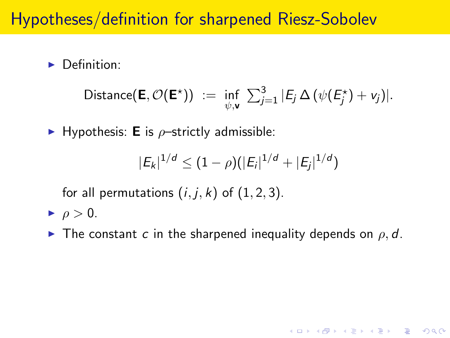# Hypotheses/definition for sharpened Riesz-Sobolev

 $\blacktriangleright$  Definition:

Distance(**E**, 
$$
\mathcal{O}(\mathbf{E}^*)
$$
) :=  $\inf_{\psi, \mathbf{v}} \sum_{j=1}^3 |E_j \Delta (\psi(E_j^*) + v_j)|$ .

 $\blacktriangleright$  Hypothesis: **E** is  $\rho$ -strictly admissible:

$$
|E_k|^{1/d} \leq (1-\rho)(|E_i|^{1/d} + |E_j|^{1/d})
$$

for all permutations  $(i, j, k)$  of  $(1, 2, 3)$ .

- $\rightharpoonup \rho > 0.$
- $\blacktriangleright$  The constant c in the sharpened inequality depends on  $\rho$ , d.

**K ロ ▶ K @ ▶ K 할 X X 할 X → 할 X → 9 Q Q ^**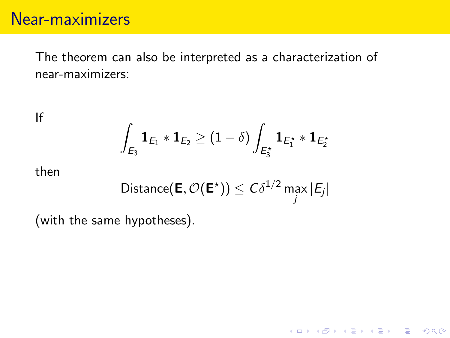# Near-maximizers

The theorem can also be interpreted as a characterization of near-maximizers:

If

$$
\int_{E_3} \mathbf{1}_{E_1} \ast \mathbf{1}_{E_2} \geq (1 - \delta) \int_{E_3^\star} \mathbf{1}_{E_1^\star} \ast \mathbf{1}_{E_2^\star}
$$

then

Distance(**E**, 
$$
\mathcal{O}(\mathbf{E}^*)
$$
)  $\leq C\delta^{1/2} \max_j |E_j|$ 

K ロ ▶ K @ ▶ K 할 > K 할 > 1 할 > 1 이익어

(with the same hypotheses).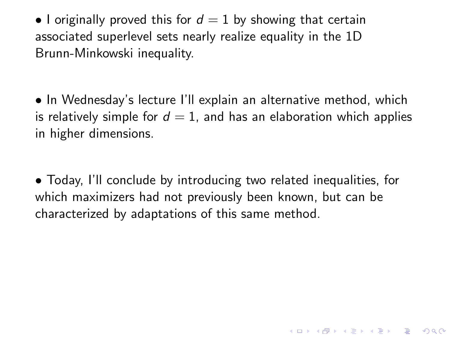• I originally proved this for  $d = 1$  by showing that certain associated superlevel sets nearly realize equality in the 1D Brunn-Minkowski inequality.

• In Wednesday's lecture I'll explain an alternative method, which is relatively simple for  $d = 1$ , and has an elaboration which applies in higher dimensions.

• Today, I'll conclude by introducing two related inequalities, for which maximizers had not previously been known, but can be characterized by adaptations of this same method.

**K ロ ▶ K @ ▶ K 할 X X 할 X → 할 X → 9 Q Q ^**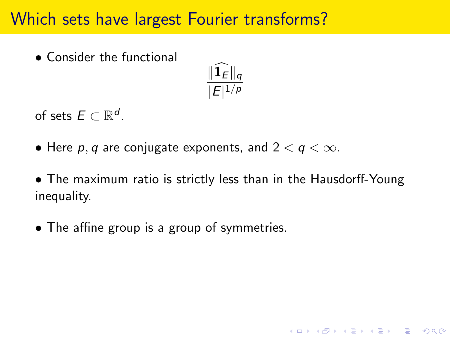# Which sets have largest Fourier transforms?

• Consider the functional



of sets  $E \subset \mathbb{R}^d$ .

• Here  $p, q$  are conjugate exponents, and  $2 < q < \infty$ .

• The maximum ratio is strictly less than in the Hausdorff-Young inequality.

K ロ ▶ K @ ▶ K 할 > K 할 > 1 할 > 1 이익어

• The affine group is a group of symmetries.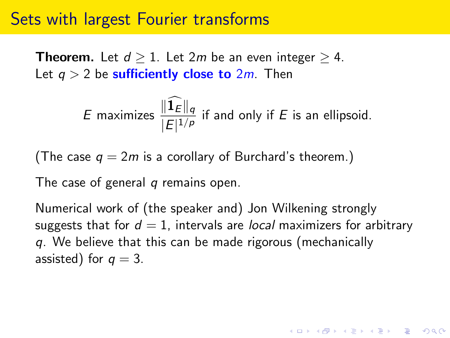### Sets with largest Fourier transforms

**Theorem.** Let  $d > 1$ . Let 2m be an even integer  $> 4$ . Let  $q > 2$  be sufficiently close to  $2m$ . Then

*E* maximizes 
$$
\frac{\|\widehat{\mathbf{1}}_E\|_q}{|E|^{1/p}}
$$
 if and only if *E* is an ellipsoid.

(The case  $q = 2m$  is a corollary of Burchard's theorem.)

The case of general  $q$  remains open.

Numerical work of (the speaker and) Jon Wilkening strongly suggests that for  $d = 1$ , intervals are *local* maximizers for arbitrary q. We believe that this can be made rigorous (mechanically assisted) for  $q = 3$ .

4 D > 4 P + 4 B + 4 B + B + 9 Q O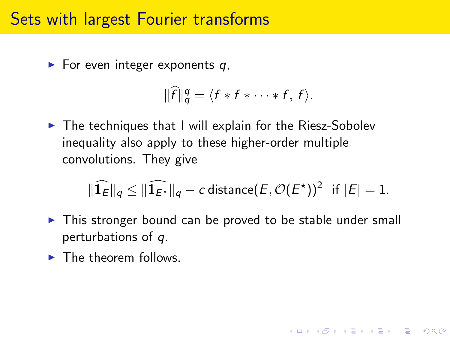#### Sets with largest Fourier transforms

 $\blacktriangleright$  For even integer exponents q,

$$
\|\widehat{f}\|_q^q = \langle f * f * \cdots * f, f \rangle.
$$

 $\blacktriangleright$  The techniques that I will explain for the Riesz-Sobolev inequality also apply to these higher-order multiple convolutions. They give

$$
\|\widehat{\mathbf{1}_E}\|_q \le \|\widehat{\mathbf{1}_{E^{\star}}}\|_q - c \text{ distance}(E, \mathcal{O}(E^{\star}))^2 \text{ if } |E| = 1.
$$

**KORK ERKER ADE YOUR** 

- $\triangleright$  This stronger bound can be proved to be stable under small perturbations of q.
- $\blacktriangleright$  The theorem follows.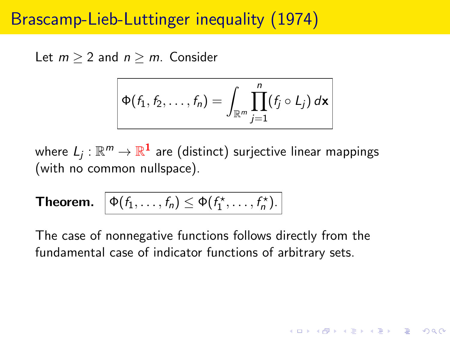# Brascamp-Lieb-Luttinger inequality (1974)

Let  $m > 2$  and  $n > m$ . Consider

$$
\Phi(f_1, f_2, \ldots, f_n) = \int_{\mathbb{R}^m} \prod_{j=1}^n (f_j \circ L_j) \, d\mathbf{x}
$$

where  $L_j:\mathbb{R}^m\rightarrow\mathbb{R}^1$  are (distinct) surjective linear mappings (with no common nullspace).

**Theorem.**  $\phi(f_1, \ldots, f_n) \leq \phi(f_1^*, \ldots, f_n^*)$ .

The case of nonnegative functions follows directly from the fundamental case of indicator functions of arbitrary sets.

**KORKAR KERKER EL VOLO**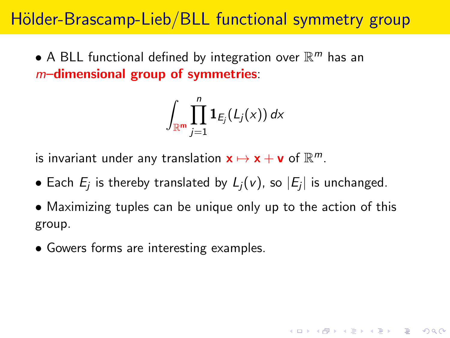# Hölder-Brascamp-Lieb/BLL functional symmetry group

 $\bullet$  A BLL functional defined by integration over  $\mathbb{R}^m$  has an  $m$ –dimensional group of symmetries:

$$
\int_{\mathbb{R}^{\mathsf{m}}}\prod_{j=1}^{n} \mathbf{1}_{E_j} (L_j(x))\,dx
$$

is invariant under any translation  $\mathbf{x} \mapsto \mathbf{x} + \mathbf{v}$  of  $\mathbb{R}^m$ .

- $\bullet$  Each  $E_j$  is thereby translated by  $L_j(v)$ , so  $|E_j|$  is unchanged.
- Maximizing tuples can be unique only up to the action of this group.

4 D > 4 P + 4 B + 4 B + B + 9 Q O

• Gowers forms are interesting examples.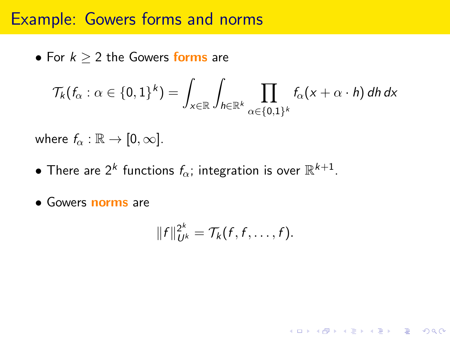### Example: Gowers forms and norms

• For  $k > 2$  the Gowers forms are

$$
\mathcal{T}_{k}(f_{\alpha}: \alpha \in \{0,1\}^{k}) = \int_{x \in \mathbb{R}} \int_{h \in \mathbb{R}^{k}} \prod_{\alpha \in \{0,1\}^{k}} f_{\alpha}(x + \alpha \cdot h) \, dh \, dx
$$

where  $f_{\alpha} : \mathbb{R} \to [0, \infty]$ .

- $\bullet$  There are 2<sup>k</sup> functions  $f_\alpha$ ; integration is over  $\mathbb{R}^{k+1}.$
- Gowers norms are

$$
||f||_{U^k}^{2^k} = \mathcal{T}_k(f,f,\ldots,f).
$$

**K ロ ▶ K @ ▶ K 할 X X 할 X → 할 X → 9 Q Q ^**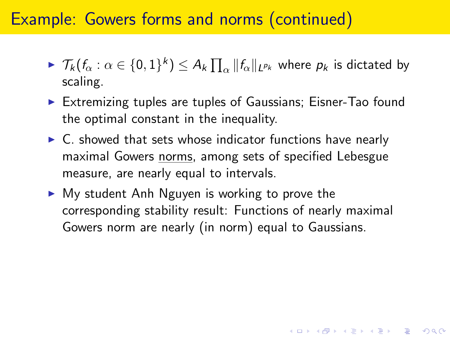# Example: Gowers forms and norms (continued)

- $\blacktriangleright \ \mathcal{T}_k(f_\alpha : \alpha \in \{0,1\}^k) \leq A_k \prod_\alpha \|f_\alpha\|_{L^{p_k}}$  where  $p_k$  is dictated by scaling.
- $\triangleright$  Extremizing tuples are tuples of Gaussians; Eisner-Tao found the optimal constant in the inequality.
- $\triangleright$  C. showed that sets whose indicator functions have nearly maximal Gowers norms, among sets of specified Lebesgue measure, are nearly equal to intervals.
- $\triangleright$  My student Anh Nguyen is working to prove the corresponding stability result: Functions of nearly maximal Gowers norm are nearly (in norm) equal to Gaussians.

4 D > 4 P + 4 B + 4 B + B + 9 Q O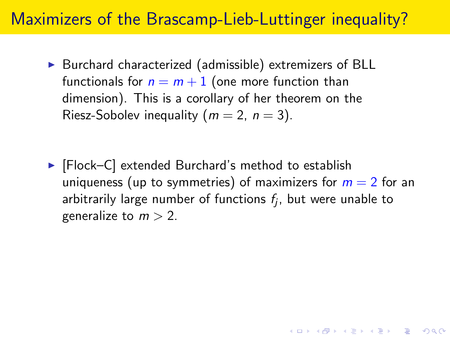# Maximizers of the Brascamp-Lieb-Luttinger inequality?

 $\triangleright$  Burchard characterized (admissible) extremizers of BLL functionals for  $n = m + 1$  (one more function than dimension). This is a corollary of her theorem on the Riesz-Sobolev inequality ( $m = 2$ ,  $n = 3$ ).

 $\blacktriangleright$  [Flock–C] extended Burchard's method to establish uniqueness (up to symmetries) of maximizers for  $m = 2$  for an arbitrarily large number of functions  $f_j$ , but were unable to generalize to  $m > 2$ .

KID KA KERKER KID KO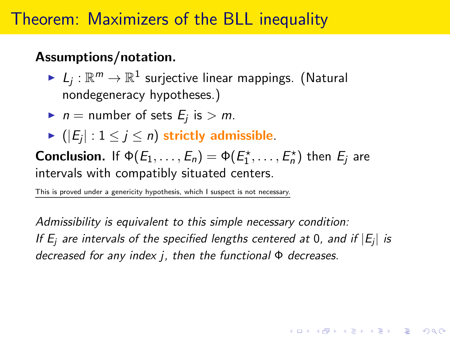# Theorem: Maximizers of the BLL inequality

#### Assumptions/notation.

- $\blacktriangleright\; \mathit{L}_j : \mathbb{R}^m \to \mathbb{R}^1$  surjective linear mappings. (Natural nondegeneracy hypotheses.)
- In the number of sets  $E_j$  is  $> m$ .
- $\blacktriangleright$   $(|E_j|: 1 \leq j \leq n)$  strictly admissible.

**Conclusion.** If  $\Phi(E_1,\ldots,E_n) = \Phi(E_1^*,\ldots,E_n^*)$  then  $E_j$  are intervals with compatibly situated centers.

This is proved under a genericity hypothesis, which I suspect is not necessary.

Admissibility is equivalent to this simple necessary condition: If  $E_j$  are intervals of the specified lengths centered at 0, and if  $|E_j|$  is decreased for any index j, then the functional  $\Phi$  decreases.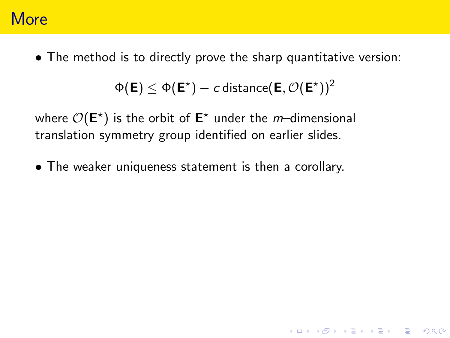### **More**

• The method is to directly prove the sharp quantitative version:

 $\Phi(\bm{\mathsf{E}}) \leq \Phi(\bm{\mathsf{E}}^{\star}) - c$  distance $(\bm{\mathsf{E}},\mathcal{O}(\bm{\mathsf{E}}^{\star}))^2$ 

**K ロ ▶ K @ ▶ K 할 X X 할 X → 할 X → 9 Q Q ^** 

where  $\mathcal{O}(\mathsf{E}^{\star})$  is the orbit of  $\mathsf{E}^{\star}$  under the *m*–dimensional translation symmetry group identified on earlier slides.

• The weaker uniqueness statement is then a corollary.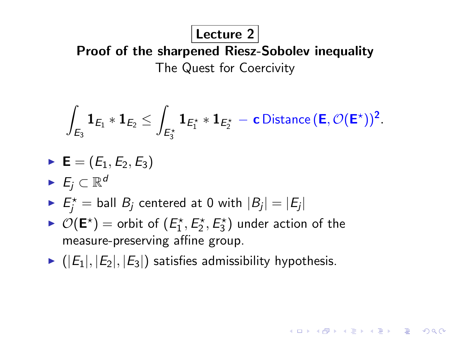#### Lecture 2

Proof of the sharpened Riesz-Sobolev inequality The Quest for Coercivity

$$
\int_{\mathsf{E}_3}\mathbf{1}_{\mathsf{E}_1}\ast \mathbf{1}_{\mathsf{E}_2}\leq \int_{\mathsf{E}_3^\star}\mathbf{1}_{\mathsf{E}_1^\star}\ast \mathbf{1}_{\mathsf{E}_2^\star}-\mathbf{c}\,\text{Distance}\,(\mathsf{E},\mathcal{O}(\mathsf{E}^\star))^2.
$$

**KORK ERKER ADE YOUR** 

- $\blacktriangleright$  **E** = ( $E_1, E_2, E_3$ )
- $\blacktriangleright$   $E_j \subset \mathbb{R}^d$
- $\blacktriangleright$   $E_j^* =$  ball  $B_j$  centered at 0 with  $|B_j| = |E_j|$
- $\blacktriangleright$   $\mathcal{O}(\mathsf{E}^{\star})$  = orbit of  $(E_1^{\star}, E_2^{\star}, E_3^{\star})$  under action of the measure-preserving affine group.
- $\blacktriangleright$  ( $|E_1|, |E_2|, |E_3|$ ) satisfies admissibility hypothesis.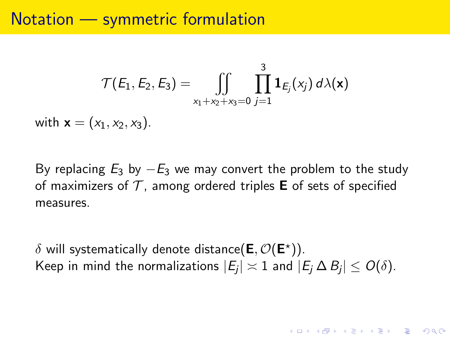### Notation — symmetric formulation

$$
\mathcal{T}(E_1, E_2, E_3) = \iint\limits_{x_1 + x_2 + x_3 = 0} \prod_{j=1}^3 \mathbf{1}_{E_j}(x_j) d\lambda(\mathbf{x})
$$

with  $\mathbf{x} = (x_1, x_2, x_3)$ .

By replacing  $E_3$  by  $-E_3$  we may convert the problem to the study of maximizers of  $\mathcal T$ , among ordered triples **E** of sets of specified measures.

 $\delta$  will systematically denote distance $(\mathsf{E},\mathcal{O}(\mathsf{E}^{\star}))$ . Keep in mind the normalizations  $|E_j|\asymp 1$  and  $|E_j\,\Delta\,B_j|\leq O(\delta).$ 

**KORK ERKER ADE YOUR**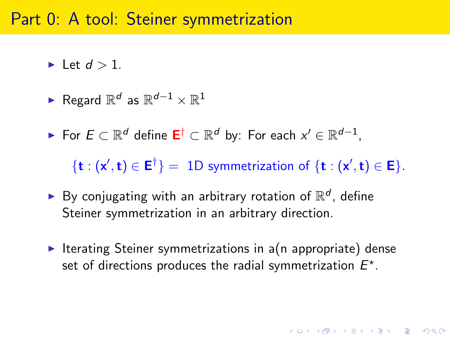### Part 0: A tool: Steiner symmetrization

- $\blacktriangleright$  Let  $d > 1$ .
- ► Regard  $\mathbb{R}^d$  as  $\mathbb{R}^{d-1}\times\mathbb{R}^1$
- ► For  $E \subset \mathbb{R}^d$  define  $\mathsf{E}^\dagger \subset \mathbb{R}^d$  by: For each  $x' \in \mathbb{R}^{d-1}$ ,

 $\{t:(x',t)\in E^{\dagger}\} = 1D$  symmetrization of  $\{t:(x',t)\in E\}.$ 

- $\blacktriangleright$  By conjugating with an arbitrary rotation of  $\mathbb{R}^d$ , define Steiner symmetrization in an arbitrary direction.
- Iterating Steiner symmetrizations in  $a(n)$  appropriate) dense set of directions produces the radial symmetrization  $E^*$ .

**KORKAR KERKER EL VOLO**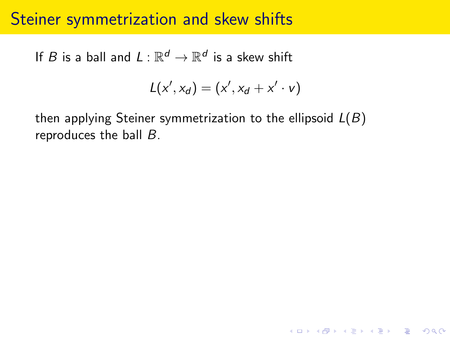# Steiner symmetrization and skew shifts

If  $B$  is a ball and  $L:\mathbb{R}^d \to \mathbb{R}^d$  is a skew shift

$$
L(x',x_d)=(x',x_d+x'\cdot v)
$$

**K ロ ▶ K @ ▶ K 할 X X 할 X → 할 X → 9 Q Q ^** 

then applying Steiner symmetrization to the ellipsoid  $L(B)$ reproduces the ball B.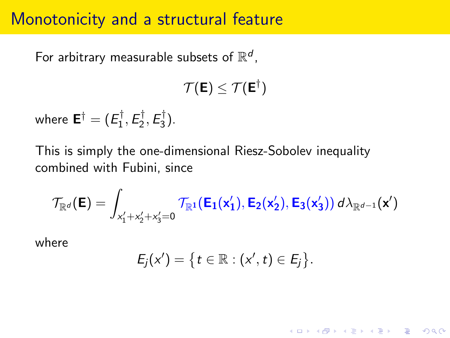# Monotonicity and a structural feature

For arbitrary measurable subsets of  $\mathbb{R}^d$ ,

$$
\mathcal{T}(\mathsf{E}) \leq \mathcal{T}(\mathsf{E}^\dagger)
$$

where  $\mathsf{E}^\dagger=(E_1^\dagger)$  $\frac{1}{1}$ ,  $E_2^{\dagger}$  $\frac{1}{2}$ ,  $E_3^{\dagger}$  $\frac{1}{3}$ .

This is simply the one-dimensional Riesz-Sobolev inequality combined with Fubini, since

$$
\mathcal{T}_{\mathbb{R}^d}(\boldsymbol{\mathsf{E}}) = \int_{x_1'+x_2'+x_3'=0} \mathcal{T}_{\mathbb{R}^1}(\boldsymbol{\mathsf{E}}_1(\boldsymbol{\mathsf{x}}_1'), \boldsymbol{\mathsf{E}}_2(\boldsymbol{\mathsf{x}}_2'), \boldsymbol{\mathsf{E}}_3(\boldsymbol{\mathsf{x}}_3')) \, d\lambda_{\mathbb{R}^{d-1}}(\boldsymbol{\mathsf{x}}')
$$

where

$$
E_j(x') = \big\{t \in \mathbb{R} : (x', t) \in E_j\big\}.
$$

K ロ ▶ K @ ▶ K 할 > K 할 > 1 할 > 1 이익어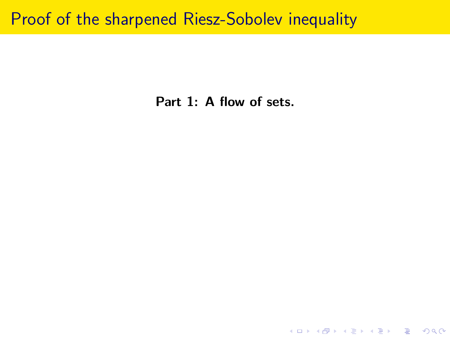### Proof of the sharpened Riesz-Sobolev inequality

Part 1: A flow of sets.

K ロ ▶ K @ ▶ K 할 ▶ K 할 ▶ | 할 | ⊙Q @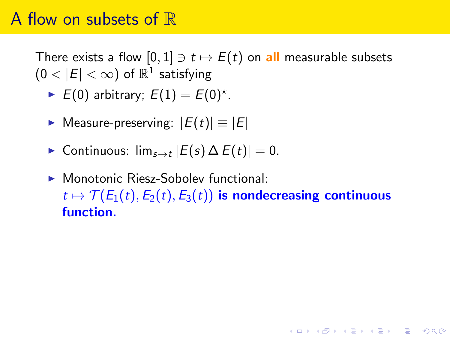### A flow on subsets of  $\mathbb R$

There exists a flow  $[0, 1] \ni t \mapsto E(t)$  on all measurable subsets  $(0<|E|<\infty)$  of  $\mathbb{R}^1$  satisfying

- E(0) arbitrary;  $E(1) = E(0)^{*}$ .
- $\triangleright$  Measure-preserving:  $|E(t)| \equiv |E|$
- ► Continuous:  $\lim_{s\to t} |E(s) \Delta E(t)| = 0$ .
- ▶ Monotonic Riesz-Soboley functional:  $t \mapsto \mathcal{T}(E_1(t), E_2(t), E_3(t))$  is nondecreasing continuous function.

**KORK ERKER ADE YOUR**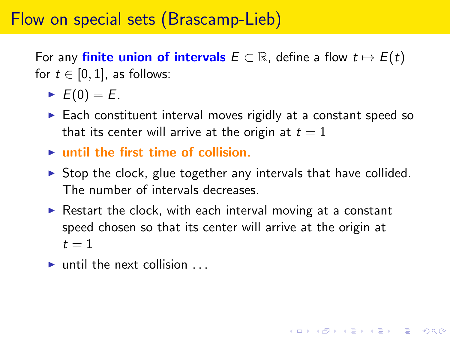# Flow on special sets (Brascamp-Lieb)

For any **finite union of intervals**  $E \subset \mathbb{R}$ , define a flow  $t \mapsto E(t)$ for  $t \in [0, 1]$ , as follows:

- $\blacktriangleright$   $E(0) = E$ .
- $\triangleright$  Each constituent interval moves rigidly at a constant speed so that its center will arrive at the origin at  $t = 1$
- $\blacktriangleright$  until the first time of collision.
- $\triangleright$  Stop the clock, glue together any intervals that have collided. The number of intervals decreases.
- $\triangleright$  Restart the clock, with each interval moving at a constant speed chosen so that its center will arrive at the origin at  $t=1$

**KORK ERKER ADE YOUR** 

 $\blacktriangleright$  until the next collision  $\ldots$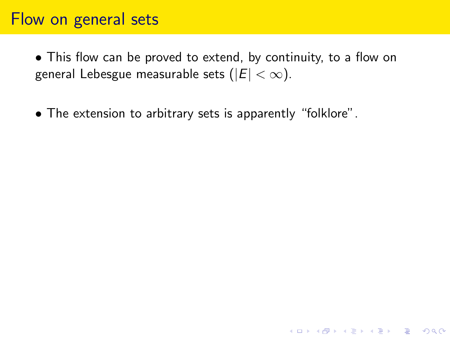# Flow on general sets

• This flow can be proved to extend, by continuity, to a flow on general Lebesgue measurable sets ( $|E| < \infty$ ).

**K ロ ▶ K @ ▶ K 할 X X 할 X → 할 X → 9 Q Q ^** 

• The extension to arbitrary sets is apparently "folklore".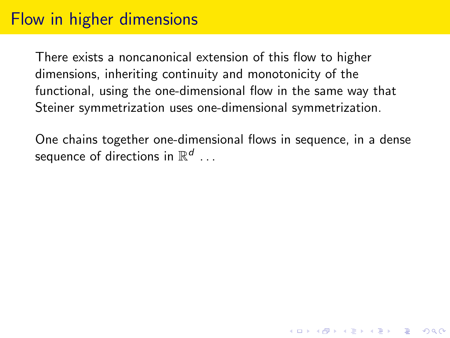# Flow in higher dimensions

There exists a noncanonical extension of this flow to higher dimensions, inheriting continuity and monotonicity of the functional, using the one-dimensional flow in the same way that Steiner symmetrization uses one-dimensional symmetrization.

One chains together one-dimensional flows in sequence, in a dense sequence of directions in  $\mathbb{R}^d$   $\dots$ 

**K ロ ▶ K @ ▶ K 할 X X 할 X → 할 X → 9 Q Q ^**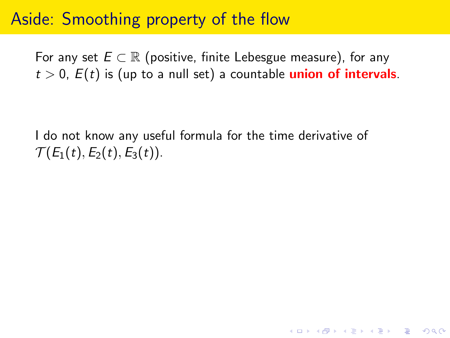# Aside: Smoothing property of the flow

For any set  $E \subset \mathbb{R}$  (positive, finite Lebesgue measure), for any  $t > 0$ ,  $E(t)$  is (up to a null set) a countable **union of intervals**.

I do not know any useful formula for the time derivative of  $\mathcal{T}(E_1(t), E_2(t), E_3(t)).$ 

**K ロ ▶ K @ ▶ K 할 X X 할 X → 할 X → 9 Q Q ^**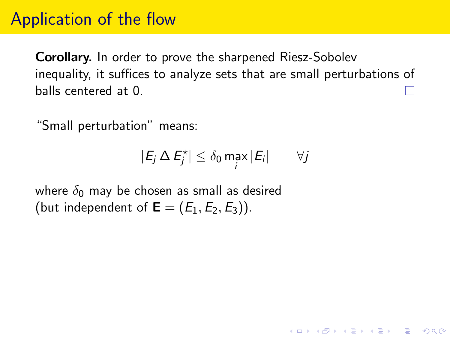# Application of the flow

Corollary. In order to prove the sharpened Riesz-Sobolev inequality, it suffices to analyze sets that are small perturbations of balls centered at 0.

"Small perturbation" means:

$$
|E_j \Delta E_j^{\star}| \leq \delta_0 \max_i |E_i| \qquad \forall j
$$

**KORK ERKER ADE YOUR** 

where  $\delta_0$  may be chosen as small as desired (but independent of  $\mathbf{E} = (E_1, E_2, E_3)$ ).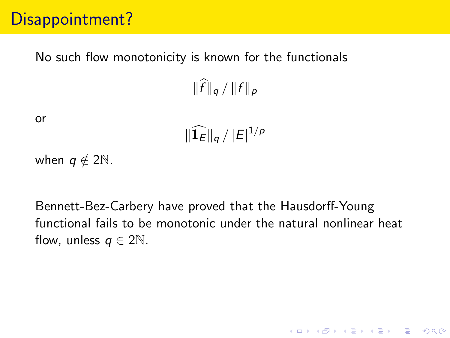# Disappointment?

#### No such flow monotonicity is known for the functionals

 $\|\widehat{f}\|_{a}/\|f\|_{p}$ 

or

$$
\|\widehat{\mathbf{1}_E}\|_q / |E|^{1/p}
$$

when  $q \notin 2\mathbb{N}$ .

Bennett-Bez-Carbery have proved that the Hausdorff-Young functional fails to be monotonic under the natural nonlinear heat flow, unless  $q \in 2\mathbb{N}$ .

K ロ ▶ K @ ▶ K 할 > K 할 > 1 할 > 1 이익어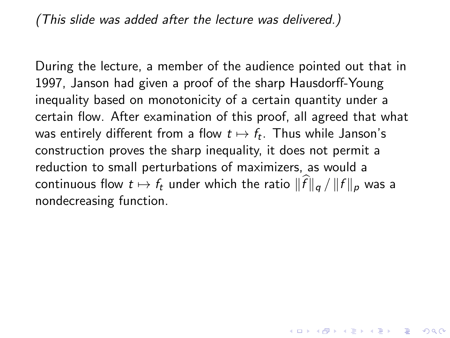(This slide was added after the lecture was delivered.)

During the lecture, a member of the audience pointed out that in 1997, Janson had given a proof of the sharp Hausdorff-Young inequality based on monotonicity of a certain quantity under a certain flow. After examination of this proof, all agreed that what was entirely different from a flow  $t\mapsto f_t.$  Thus while Janson's construction proves the sharp inequality, it does not permit a reduction to small perturbations of maximizers, as would a continuous flow  $t \mapsto f_t$  under which the ratio  $\|\widehat{f}\|_{a} / \|f\|_{p}$  was a nondecreasing function.

4 D > 4 P + 4 B + 4 B + B + 9 Q O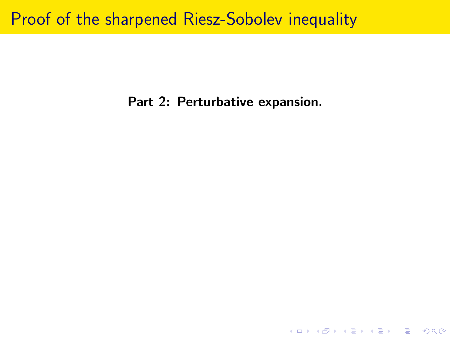# Proof of the sharpened Riesz-Sobolev inequality

Part 2: Perturbative expansion.

K ロ ▶ K @ ▶ K 할 ▶ K 할 ▶ | 할 | ⊙Q @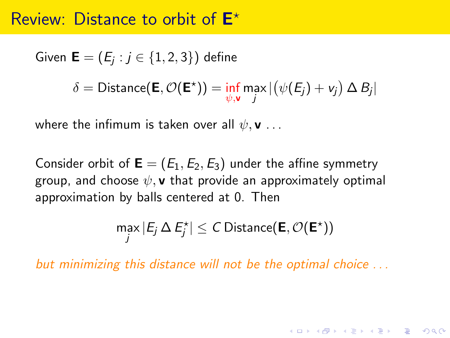## Review: Distance to orbit of  $E^*$

Given  $\mathsf{E}=(E_j: j\in\{1,2,3\})$  define  $\delta = \mathsf{Distance}(\mathsf{E}, \mathcal{O}(\mathsf{E}^{\star})) = \inf_{\psi, \mathsf{v}} \max_j | \big(\psi(\mathit{E}_j) + \mathit{v}_j\big) \, \Delta \, \mathit{B}_j |$ 

where the infimum is taken over all  $\psi$ , **v** ...

Consider orbit of  $\mathbf{E} = (E_1, E_2, E_3)$  under the affine symmetry group, and choose  $\psi$ , **v** that provide an approximately optimal approximation by balls centered at 0. Then

$$
\max_j |E_j \Delta E_j^{\star}| \leq C \text{ Distance}(\mathbf{E}, \mathcal{O}(\mathbf{E}^{\star}))
$$

**KORKAR KERKER EL VOLO** 

but minimizing this distance will not be the optimal choice . . .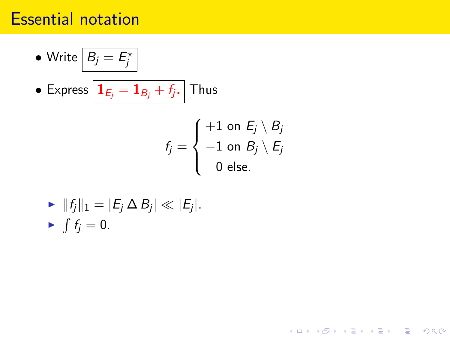## Essential notation

\n- Write 
$$
B_j = E_j^*
$$
\n- Express  $I_{E_j} = 1_{B_j} + f_j$ . Thus\n  $f_j = \begin{cases} +1 & \text{on} \\ -1 & \text{on} \end{cases}$
\n

$$
f_j = \begin{cases} +1 \text{ on } E_j \setminus B_j \\ -1 \text{ on } B_j \setminus E_j \\ 0 \text{ else.} \end{cases}
$$

K ロ X K 메 X K B X X B X X D X O Q Q O

$$
\begin{aligned}\n&\blacktriangleright \|\mathbf{f}_j\|_1 = |\mathbf{E}_j \Delta \mathbf{B}_j| \ll |\mathbf{E}_j|. \\
&\blacktriangleright \int \mathbf{f}_j = 0.\n\end{aligned}
$$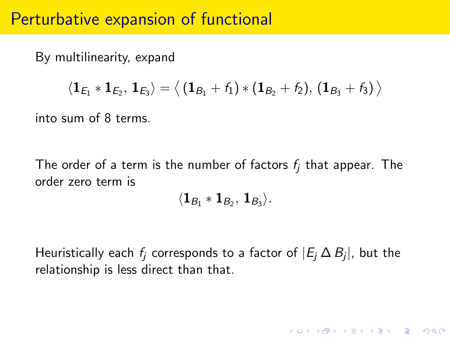#### Perturbative expansion of functional

By multilinearity, expand

$$
\langle \mathbf{1}_{E_1} \ast \mathbf{1}_{E_2}, \, \mathbf{1}_{E_3} \rangle = \big\langle \left(\mathbf{1}_{B_1}+f_1\right) \ast \left(\mathbf{1}_{B_2}+f_2\right), \, \left(\mathbf{1}_{B_3}+f_3\right) \big\rangle
$$

into sum of 8 terms.

The order of a term is the number of factors  $f_i$  that appear. The order zero term is

$$
\langle \mathbf{1}_{B_1} \ast \mathbf{1}_{B_2}, \mathbf{1}_{B_3} \rangle.
$$

Heuristically each  $f_j$  corresponds to a factor of  $|E_j \, \Delta \, B_j |$ , but the relationship is less direct than that.

**KORK ERKER ADE YOUR**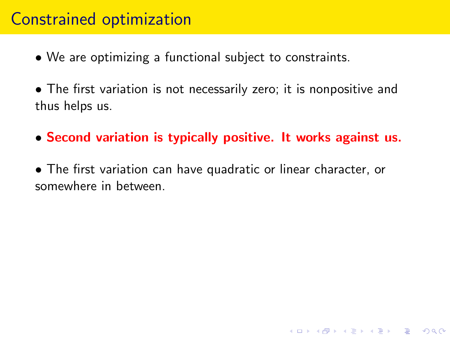## Constrained optimization

- We are optimizing a functional subject to constraints.
- The first variation is not necessarily zero; it is nonpositive and thus helps us.
- Second variation is typically positive. It works against us.

**K ロ ▶ K @ ▶ K 할 X X 할 X → 할 X → 9 Q Q ^** 

• The first variation can have quadratic or linear character, or somewhere in between.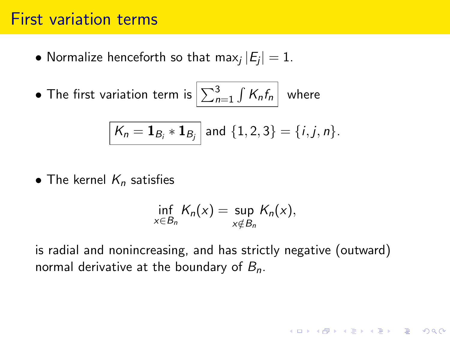#### First variation terms

- $\bullet$  Normalize henceforth so that max $_j\,|E_j|=1.$
- $\bullet$  The first variation term is  $\left| \sum_{n=1}^3 \int K_n f_n \right|$  where

$$
\boxed{K_n = \mathbf{1}_{B_i} * \mathbf{1}_{B_j}}
$$
 and 
$$
\{1, 2, 3\} = \{i, j, n\}.
$$

• The kernel  $K_n$  satisfies

$$
\inf_{x \in B_n} K_n(x) = \sup_{x \notin B_n} K_n(x),
$$

**K ロ ▶ K @ ▶ K 할 X X 할 X → 할 X → 9 Q Q ^** 

is radial and nonincreasing, and has strictly negative (outward) normal derivative at the boundary of  $B_n$ .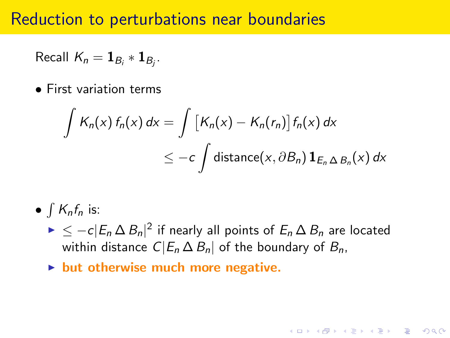#### Reduction to perturbations near boundaries

Recall 
$$
K_n = \mathbf{1}_{B_i} * \mathbf{1}_{B_j}
$$
.

• First variation terms

$$
\int K_n(x) f_n(x) dx = \int [K_n(x) - K_n(r_n)] f_n(x) dx
$$
  
\n
$$
\leq -c \int \text{distance}(x, \partial B_n) \mathbf{1}_{E_n \Delta B_n}(x) dx
$$

•  $\int K_n f_n$  is:

 $\blacktriangleright$   $\leq$   $-c|E_n \Delta B_n|^2$  if nearly all points of  $E_n \Delta B_n$  are located within distance  $C|E_n \Delta B_n|$  of the boundary of  $B_n$ ,

**KORK ERKER ADE YOUR** 

 $\blacktriangleright$  but otherwise much more negative.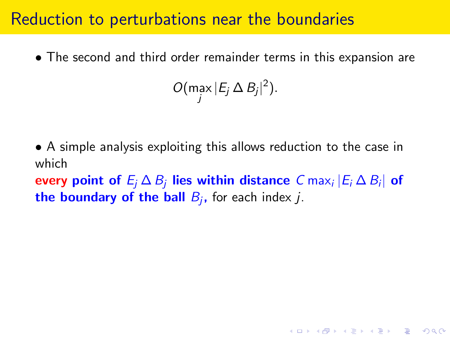#### Reduction to perturbations near the boundaries

• The second and third order remainder terms in this expansion are

$$
O(\max_j |E_j \Delta B_j|^2).
$$

• A simple analysis exploiting this allows reduction to the case in which

every point of  $E_j\,\Delta\, B_j$  lies within distance  $\,$  C ma ${\sf x}_i\,|E_i\,\Delta\, B_i|\,$  of the boundary of the ball  $B_j$ , for each index  $j$ .

KID KA KERKER KID KO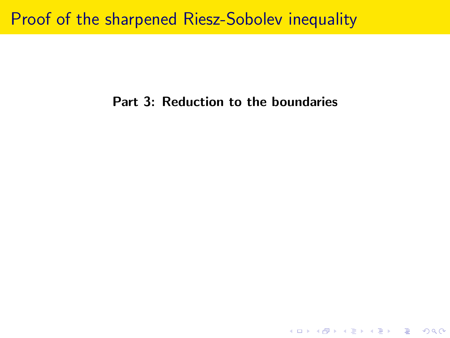#### Proof of the sharpened Riesz-Sobolev inequality

#### Part 3: Reduction to the boundaries

K ロ ▶ K @ ▶ K 할 ▶ K 할 ▶ | 할 | ⊙Q @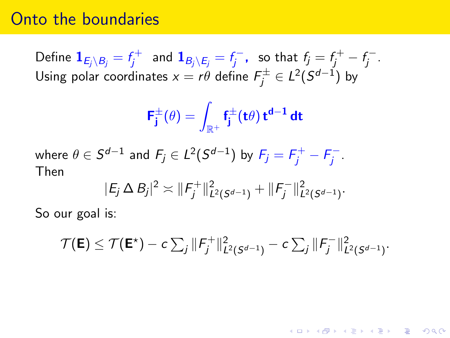#### Onto the boundaries

Define  $\mathbf{1}_{E_j\setminus B_j}=f_j^+$  $\bar{g}^+_j$  and  $\mathbf{1}_{B_j\setminus E_j} = f_j^$  $f_j^{\epsilon-}$ , so that  $f_j = f_j^+ - f_j^-$ ..<br>j Using polar coordinates  $x=r\theta$  define  $\mathit{F}_{j}^{\pm}\in L^{2}(S^{d-1})$  by

$$
\textbf{F}_{\textbf{j}}^{\pm}(\theta)=\int_{\mathbb{R}^{+}}\textbf{f}_{\textbf{j}}^{\pm}(\textbf{t}\theta)\,\textbf{t}^{\textbf{d}-1}\,\textbf{d}\textbf{t}
$$

where  $\theta \in \mathcal{S}^{d-1}$  and  $F_j \in L^2(\mathcal{S}^{d-1})$  by  $F_j = F_j^+ - F_j^$ j . Then

$$
|E_j \Delta B_j|^2 \asymp ||F_j^+||^2_{L^2(S^{d-1})} + ||F_j^-||^2_{L^2(S^{d-1})}.
$$

So our goal is:

$$
\mathcal{T}(\mathbf{E}) \leq \mathcal{T}(\mathbf{E}^*) - c \sum_j \|\mathbf{F}_j^+\|_{L^2(\mathcal{S}^{d-1})}^2 - c \sum_j \|\mathbf{F}_j^-\|_{L^2(\mathcal{S}^{d-1})}^2.
$$

**KORK ERKER ADE YOUR**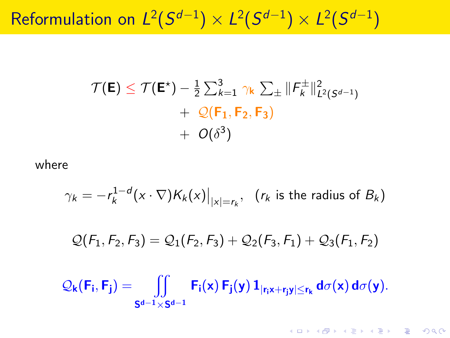Reformulation on  $L^2(S^{d-1})\times L^2(S^{d-1})\times L^2(S^{d-1})$ 

$$
\mathcal{T}(\mathsf{E}) \leq \mathcal{T}(\mathsf{E}^*) - \frac{1}{2} \sum_{k=1}^3 \gamma_k \sum_{\pm} ||F_k^{\pm}||^2_{L^2(S^{d-1})} + \mathcal{Q}(\mathsf{F}_1, \mathsf{F}_2, \mathsf{F}_3) + O(\delta^3)
$$

where

$$
\gamma_k = -r_k^{1-d}(x \cdot \nabla)K_k(x)\big|_{|x|=r_k}, \ \ (r_k \text{ is the radius of } B_k)
$$

 $Q(F_1, F_2, F_3) = Q_1(F_2, F_3) + Q_2(F_3, F_1) + Q_3(F_1, F_2)$ 

$$
\mathcal{Q}_k(F_i,F_j)=\iint\limits_{S^{d-1}\times S^{d-1}}F_i(x)\,F_j(y)\,\mathbf{1}_{[r_ix+r_jy]\le r_k}\,d\sigma(x)\,d\sigma(y).
$$

K ロ ▶ K @ ▶ K 할 > K 할 > 1 할 > 1 이익어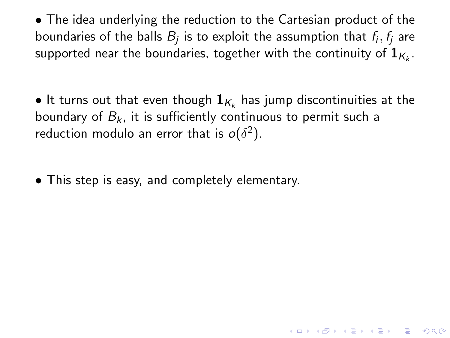• The idea underlying the reduction to the Cartesian product of the boundaries of the balls  $B_j$  is to exploit the assumption that  $\emph{f}_i, \emph{f}_j$  are supported near the boundaries, together with the continuity of  $\mathbf{1}_{K_k}.$ 

 $\bullet$  It turns out that even though  $\mathbf{1}_{\mathcal{K}_k}$  has jump discontinuities at the boundary of  $B_k$ , it is sufficiently continuous to permit such a reduction modulo an error that is  $o(\delta^2)$ .

• This step is easy, and completely elementary.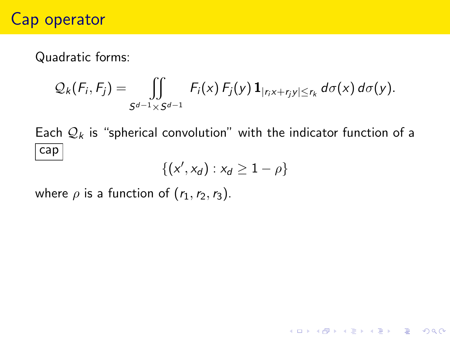### Cap operator

Quadratic forms:

$$
Q_k(F_i,F_j)=\iint\limits_{S^{d-1}\times S^{d-1}}F_i(x) F_j(y) \mathbf{1}_{|r_ix+r_jy|\leq r_k} d\sigma(x) d\sigma(y).
$$

Each  $\mathcal{Q}_k$  is "spherical convolution" with the indicator function of a cap

$$
\{(x',x_d):x_d\geq 1-\rho\}
$$

where  $\rho$  is a function of  $(r_1, r_2, r_3)$ .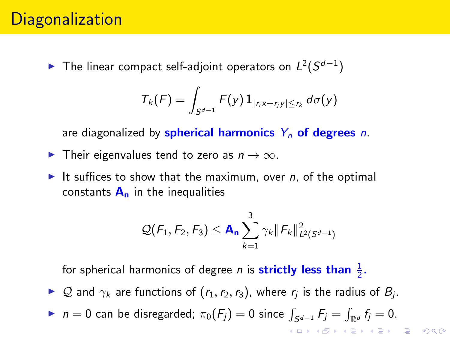## **Diagonalization**

▶ The linear compact self-adjoint operators on  $L^2(S^{d-1})$ 

$$
T_k(F)=\int_{S^{d-1}}F(y)\mathbf{1}_{|r_ix+r_jy|\leq r_k}d\sigma(y)
$$

are diagonalized by **spherical harmonics**  $Y_n$  of degrees n.

- **Figure 1** Their eigenvalues tend to zero as  $n \to \infty$ .
- It suffices to show that the maximum, over n, of the optimal constants  $A_n$  in the inequalities

$$
\mathcal{Q}(F_1, F_2, F_3) \leq \mathbf{A}_n \sum_{k=1}^3 \gamma_k \|F_k\|_{L^2(S^{d-1})}^2
$$

for spherical harmonics of degree *n* is **strictly less than**  $\frac{1}{2}$ .

- ► Q and  $\gamma_k$  are functions of  $(r_1, r_2, r_3)$ , where  $r_j$  is the radius of  $B_j$ .
- ►  $n = 0$  can be disregarded;  $\pi_0(F_j) = 0$  since  $\int_{S^{d-1}} F_j = \int_{\mathbb{R}^d} f_j = 0$ .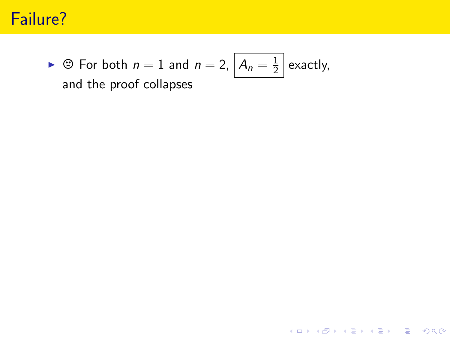## Failure?

 $\triangleright \circledcirc$  For both  $n = 1$  and  $n = 2$ ,  $A_n = \frac{1}{2}$  $\frac{1}{2}$  exactly, and the proof collapses

K ロ ▶ K @ ▶ K 할 ▶ K 할 ▶ ... 할 ... 900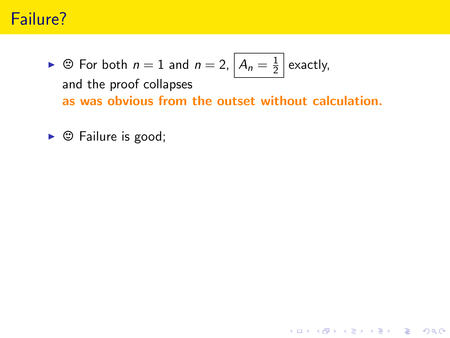## Failure?

 $\triangleright \circledcirc$  For both  $n = 1$  and  $n = 2$ ,  $A_n = \frac{1}{2}$  $\frac{1}{2}$  exactly, and the proof collapses as was obvious from the outset without calculation.

K ロ ▶ K @ ▶ K 할 > K 할 > 1 할 > 1 이익어

 $\triangleright$   $\odot$  Failure is good;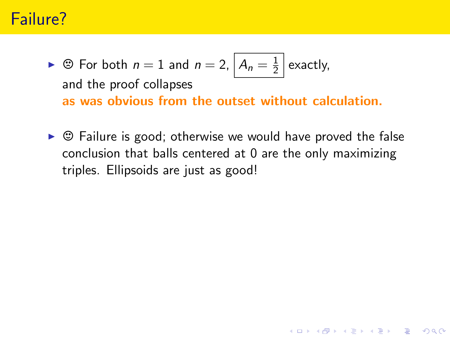## Failure?

- $\triangleright \circledcirc$  For both  $n = 1$  and  $n = 2$ ,  $A_n = \frac{1}{2}$  $\frac{1}{2}$  exactly, and the proof collapses as was obvious from the outset without calculation.
- $\triangleright$   $\odot$  Failure is good; otherwise we would have proved the false conclusion that balls centered at 0 are the only maximizing triples. Ellipsoids are just as good!

**KORK ERKER ADE YOUR**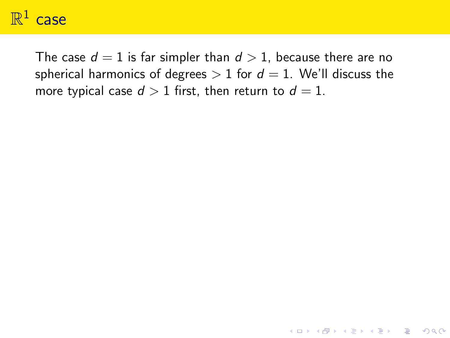# $\mathbb{R}^1$  case

The case  $d = 1$  is far simpler than  $d > 1$ , because there are no spherical harmonics of degrees  $> 1$  for  $d = 1$ . We'll discuss the more typical case  $d > 1$  first, then return to  $d = 1$ .

**K ロ ▶ K @ ▶ K 할 X X 할 X → 할 X → 9 Q Q ^**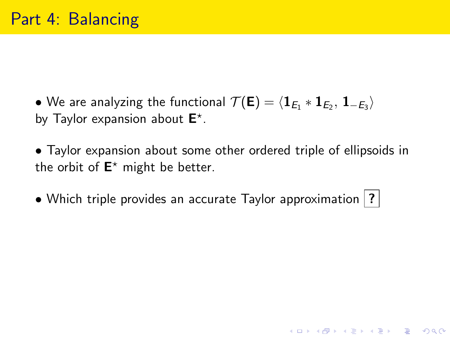- $\bullet$  We are analyzing the functional  $\mathcal{T}(\mathsf{E}) = \langle \mathbf{1}_{E_1} \ast \mathbf{1}_{E_2}, \, \mathbf{1}_{-E_3} \rangle$ by Taylor expansion about  $E^*$ .
- Taylor expansion about some other ordered triple of ellipsoids in the orbit of  $E^*$  might be better.

**K ロ ▶ K @ ▶ K 할 X X 할 X → 할 X → 9 Q Q ^** 

• Which triple provides an accurate Taylor approximation |?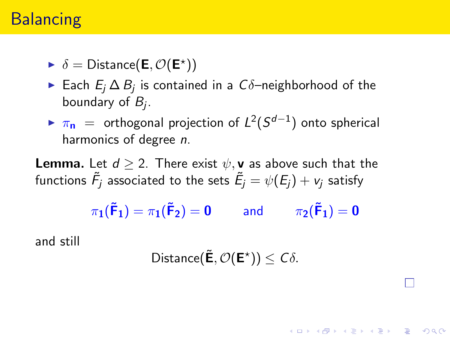## **Balancing**

 $\triangleright \delta = \text{Distance}(\mathsf{E}, \mathcal{O}(\mathsf{E}^{\star}))$ 

- ► Each  $E_j \Delta B_j$  is contained in a  $C\delta$ –neighborhood of the boundary of  $B_j$ .
- ►  $\pi_{\mathsf{n}}$  = orthogonal projection of  $L^2(S^{d-1})$  onto spherical harmonics of degree n.

**Lemma.** Let  $d > 2$ . There exist  $\psi$ , **v** as above such that the functions  $\tilde{\mathcal{F}}_j$  associated to the sets  $\tilde{\mathcal{E}}_j = \psi(\mathcal{E}_j) + \mathcal{v}_j$  satisfy

 $\pi_1(\tilde{\mathsf{F}}_1) = \pi_1(\tilde{\mathsf{F}}_2) = 0$  and  $\pi_2(\tilde{\mathsf{F}}_1) = 0$ 

and still

$$
\mathsf{Distance}(\tilde{\mathbf{E}}, \mathcal{O}(\mathbf{E}^{\star})) \leq C \delta.
$$

**KORKAR KERKER EL VOLO**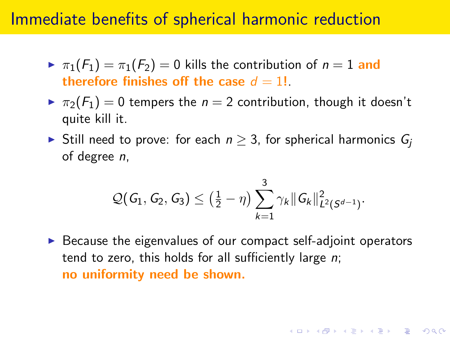#### Immediate benefits of spherical harmonic reduction

- $\triangleright \pi_1(F_1) = \pi_1(F_2) = 0$  kills the contribution of  $n = 1$  and therefore finishes off the case  $d = 1!$ .
- $\triangleright \pi_2(F_1) = 0$  tempers the  $n = 2$  contribution, though it doesn't quite kill it.
- ► Still need to prove: for each  $n \geq 3$ , for spherical harmonics  $G_i$ of degree n,

$$
\mathcal{Q}(G_1, G_2, G_3) \leq \left(\frac{1}{2} - \eta\right) \sum_{k=1}^3 \gamma_k \|G_k\|_{L^2(S^{d-1})}^2.
$$

 $\triangleright$  Because the eigenvalues of our compact self-adjoint operators tend to zero, this holds for all sufficiently large  $n$ ; no uniformity need be shown.

**KORKAR KERKER EL VOLO**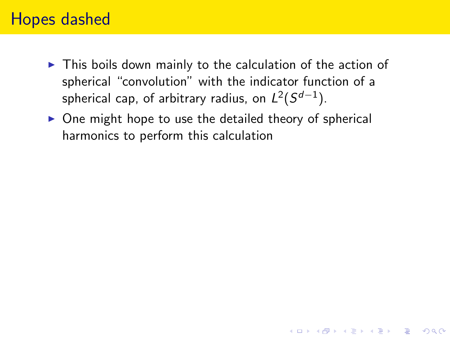## Hopes dashed

- $\triangleright$  This boils down mainly to the calculation of the action of spherical "convolution" with the indicator function of a spherical cap, of arbitrary radius, on  $L^2(S^{d-1}).$
- $\triangleright$  One might hope to use the detailed theory of spherical harmonics to perform this calculation

**KORK ERKER ADE YOUR**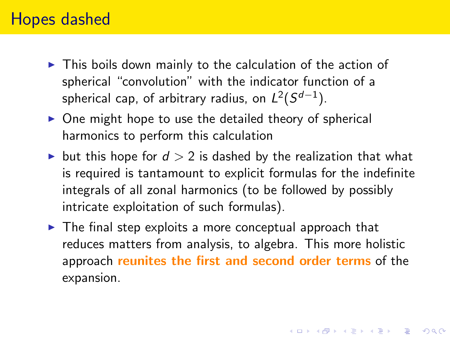#### Hopes dashed

- $\triangleright$  This boils down mainly to the calculation of the action of spherical "convolution" with the indicator function of a spherical cap, of arbitrary radius, on  $L^2(S^{d-1}).$
- $\triangleright$  One might hope to use the detailed theory of spherical harmonics to perform this calculation
- ightharpoonup but this hope for  $d > 2$  is dashed by the realization that what is required is tantamount to explicit formulas for the indefinite integrals of all zonal harmonics (to be followed by possibly intricate exploitation of such formulas).
- $\triangleright$  The final step exploits a more conceptual approach that reduces matters from analysis, to algebra. This more holistic approach reunites the first and second order terms of the expansion.

4 D > 4 P + 4 B + 4 B + B + 9 Q O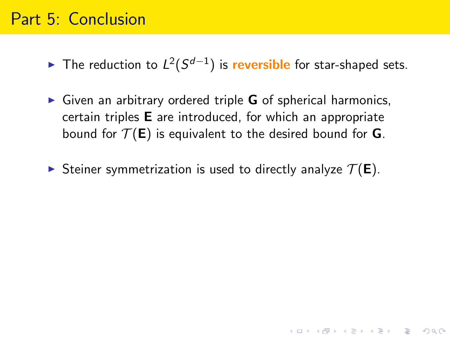#### Part 5: Conclusion

► The reduction to  $L^2(S^{d-1})$  is reversible for star-shaped sets.

 $\triangleright$  Given an arbitrary ordered triple G of spherical harmonics, certain triples E are introduced, for which an appropriate bound for  $\mathcal{T}(\mathsf{E})$  is equivalent to the desired bound for **G**.

Steiner symmetrization is used to directly analyze  $\mathcal{T}(E)$ .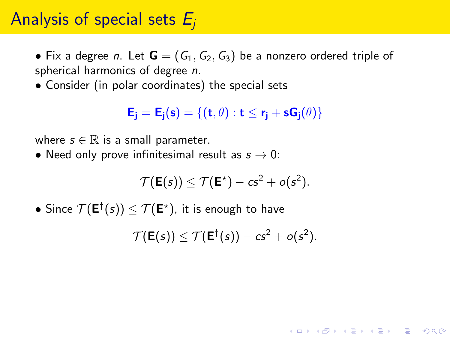## Analysis of special sets  $E_i$

• Fix a degree *n*. Let  $\mathbf{G} = (G_1, G_2, G_3)$  be a nonzero ordered triple of spherical harmonics of degree n.

• Consider (in polar coordinates) the special sets

 $E_i = E_i(s) = \{(t, \theta) : t \le r_i + sG_i(\theta)\}\$ 

where  $s \in \mathbb{R}$  is a small parameter.

• Need only prove infinitesimal result as  $s \to 0$ :

$$
\mathcal{T}(\mathsf{E}(s)) \leq \mathcal{T}(\mathsf{E}^*) - c s^2 + o(s^2).
$$

 $\bullet$  Since  $\mathcal{T}(\mathsf{E}^{\dagger}(s)) \leq \mathcal{T}(\mathsf{E}^{\star}),$  it is enough to have

$$
\mathcal{T}(\mathbf{E}(s)) \leq \mathcal{T}(\mathbf{E}^{\dagger}(s)) - cs^2 + o(s^2).
$$

**KORKAR KERKER EL VOLO**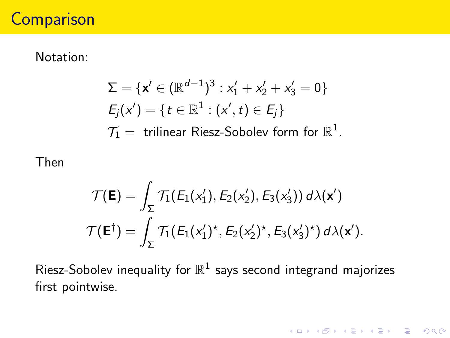## **Comparison**

#### Notation:

$$
\Sigma = \{ \mathbf{x}' \in (\mathbb{R}^{d-1})^3 : x_1' + x_2' + x_3' = 0 \}
$$
  
\n
$$
E_j(x') = \{ t \in \mathbb{R}^1 : (x', t) \in E_j \}
$$
  
\n
$$
\mathcal{T}_1 = \text{ trilinear Riesz-Sobolev form for } \mathbb{R}^1.
$$

Then

$$
\mathcal{T}(\mathbf{E}) = \int_{\Sigma} \mathcal{T}_1(E_1(x'_1), E_2(x'_2), E_3(x'_3)) d\lambda(\mathbf{x}')
$$

$$
\mathcal{T}(\mathbf{E}^{\dagger}) = \int_{\Sigma} \mathcal{T}_1(E_1(x'_1)^{\star}, E_2(x'_2)^{\star}, E_3(x'_3)^{\star}) d\lambda(\mathbf{x}').
$$

Riesz-Sobolev inequality for  $\mathbb{R}^1$  says second integrand majorizes first pointwise.

K □ ▶ K @ ▶ K 할 X K 할 X T 할 X 1 9 Q Q \*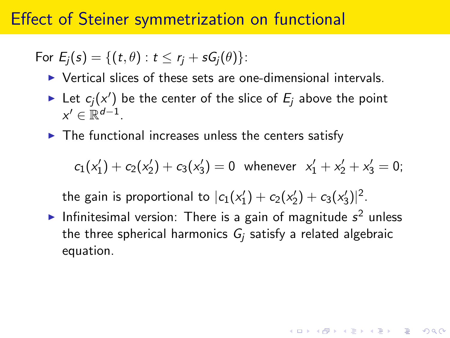#### Effect of Steiner symmetrization on functional

For  $E_i(s) = \{(t, \theta) : t \leq r_i + sG_i(\theta)\}$ :

- $\triangleright$  Vertical slices of these sets are one-dimensional intervals.
- In Let  $c_j(x')$  be the center of the slice of  $E_j$  above the point  $x' \in \mathbb{R}^{d-1}$ .
- $\blacktriangleright$  The functional increases unless the centers satisfy

$$
c_1(x'_1) + c_2(x'_2) + c_3(x'_3) = 0
$$
 whenever  $x'_1 + x'_2 + x'_3 = 0$ ;

the gain is proportional to  $|c_1(x_1') + c_2(x_2') + c_3(x_3')|^2$ .

Infinitesimal version: There is a gain of magnitude  $s^2$  unless the three spherical harmonics  $G_i$  satisfy a related algebraic equation.

**KORKAR KERKER EL VOLO**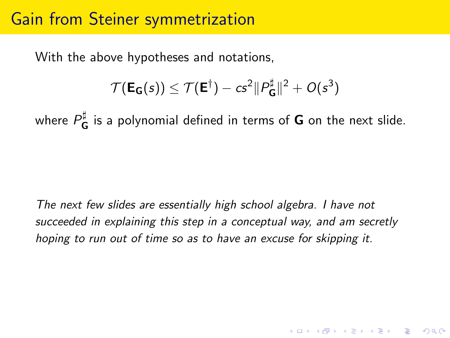#### Gain from Steiner symmetrization

With the above hypotheses and notations,

$$
\mathcal{T}(\mathsf{E}_{\mathsf{G}}(s)) \leq \mathcal{T}(\mathsf{E}^{\dagger}) - c s^2 \|P_{\mathsf{G}}^{\sharp}\|^2 + O(s^3)
$$

where  $P^{\sharp}_{\bf C}$  $\frac{u}{G}$  is a polynomial defined in terms of  $G$  on the next slide.

The next few slides are essentially high school algebra. I have not succeeded in explaining this step in a conceptual way, and am secretly hoping to run out of time so as to have an excuse for skipping it.

4 D > 4 P + 4 B + 4 B + B + 9 Q O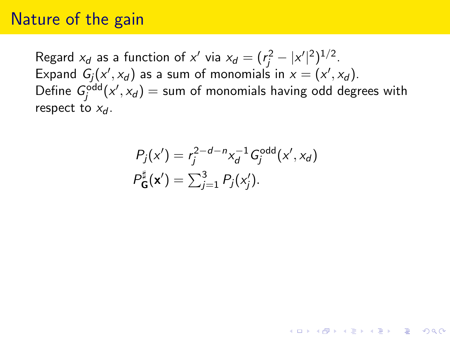#### Nature of the gain

Regard  $x_d$  as a function of  $x'$  via  $x_d = (r_j^2 - |x'|^2)^{1/2}$ . Expand  $G_j(x', x_d)$  as a sum of monomials in  $x = (x', x_d)$ . Define  $G_j^{\text{odd}}(x', x_d) =$  sum of monomials having odd degrees with respect to  $x_d$ .

$$
P_j(x') = r_j^{2-d-n} x_d^{-1} G_j^{\text{odd}}(x', x_d)
$$
  

$$
P_{\mathbf{G}}^{\sharp}(\mathbf{x}') = \sum_{j=1}^3 P_j(x'_j).
$$

4 D > 4 P + 4 B + 4 B + B + 9 Q O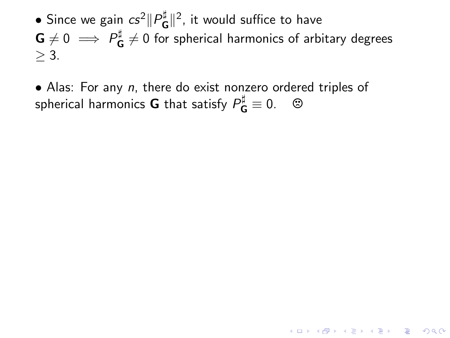$\bullet$  Since we gain  $cs^2\|P^{\sharp}_{\bf C}$  $\mathbf{G}^{\sharp}$  ||<sup>2</sup>, it would suffice to have  $\mathsf{G}\neq 0\implies P_\mathsf{C}^\sharp$  $\frac{1}{\mathsf{G}}\neq 0$  for spherical harmonics of arbitary degrees  $>$  3.

**KORKAR KERKER EL VOLO** 

• Alas: For any n, there do exist nonzero ordered triples of spherical harmonics **G** that satisfy  $P_{\mathbf{G}}^{\sharp} \equiv 0$ .  $\quad \circledcirc$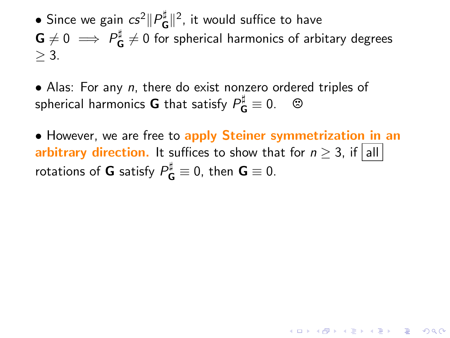$\bullet$  Since we gain  $cs^2\|P^{\sharp}_{\bf C}$  $\mathbf{G}^{\sharp}$  ||<sup>2</sup>, it would suffice to have  $\mathsf{G}\neq 0\implies P_\mathsf{C}^\sharp$  $\frac{1}{\mathsf{G}}\neq 0$  for spherical harmonics of arbitary degrees  $>$  3.

• Alas: For any n, there do exist nonzero ordered triples of spherical harmonics **G** that satisfy  $P_{\mathbf{G}}^{\sharp} \equiv 0$ .  $\quad \circledcirc$ 

• However, we are free to apply Steiner symmetrization in an arbitrary direction. It suffices to show that for  $n > 3$ , if all rotations of **G** satisfy  $P_{\mathbf{G}}^{\sharp} \equiv 0$ , then  $\mathbf{G} \equiv 0$ .

**KORKAR KERKER EL VOLO**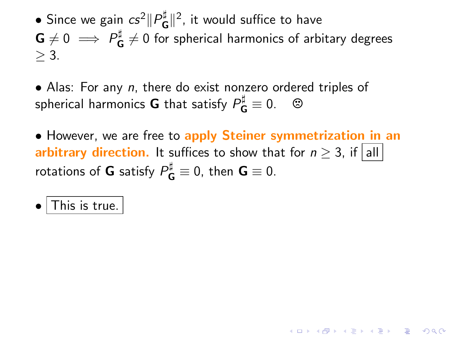$\bullet$  Since we gain  $cs^2\|P^{\sharp}_{\bf C}$  $\mathbf{G}^{\sharp}$  ||<sup>2</sup>, it would suffice to have  $\mathsf{G}\neq 0\implies P_\mathsf{C}^\sharp$  $\frac{1}{\mathsf{G}}\neq 0$  for spherical harmonics of arbitary degrees  $>$  3.

• Alas: For any n, there do exist nonzero ordered triples of spherical harmonics **G** that satisfy  $P_{\mathbf{G}}^{\sharp} \equiv 0$ .  $\quad \circledcirc$ 

• However, we are free to apply Steiner symmetrization in an arbitrary direction. It suffices to show that for  $n > 3$ , if all rotations of **G** satisfy  $P_{\mathbf{G}}^{\sharp} \equiv 0$ , then  $\mathbf{G} \equiv 0$ .

**KORKAR KERKER EL VOLO** 

This is true.  $\vert$